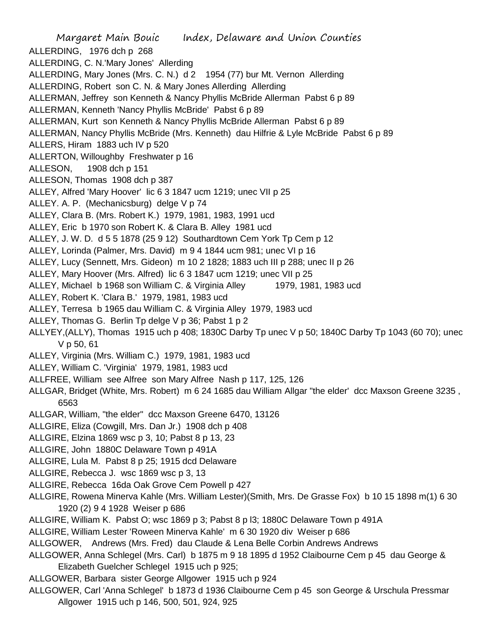Margaret Main Bouic Index, Delaware and Union Counties ALLERDING, 1976 dch p 268 ALLERDING, C. N.'Mary Jones' Allerding ALLERDING, Mary Jones (Mrs. C. N.) d 2 1954 (77) bur Mt. Vernon Allerding ALLERDING, Robert son C. N. & Mary Jones Allerding Allerding ALLERMAN, Jeffrey son Kenneth & Nancy Phyllis McBride Allerman Pabst 6 p 89 ALLERMAN, Kenneth 'Nancy Phyllis McBride' Pabst 6 p 89 ALLERMAN, Kurt son Kenneth & Nancy Phyllis McBride Allerman Pabst 6 p 89 ALLERMAN, Nancy Phyllis McBride (Mrs. Kenneth) dau Hilfrie & Lyle McBride Pabst 6 p 89 ALLERS, Hiram 1883 uch IV p 520 ALLERTON, Willoughby Freshwater p 16 ALLESON, 1908 dch p 151 ALLESON, Thomas 1908 dch p 387 ALLEY, Alfred 'Mary Hoover' lic 6 3 1847 ucm 1219; unec VII p 25 ALLEY. A. P. (Mechanicsburg) delge V p 74 ALLEY, Clara B. (Mrs. Robert K.) 1979, 1981, 1983, 1991 ucd ALLEY, Eric b 1970 son Robert K. & Clara B. Alley 1981 ucd ALLEY, J. W. D. d 5 5 1878 (25 9 12) Southardtown Cem York Tp Cem p 12 ALLEY, Lorinda (Palmer, Mrs. David) m 9 4 1844 ucm 981; unec VI p 16 ALLEY, Lucy (Sennett, Mrs. Gideon) m 10 2 1828; 1883 uch III p 288; unec II p 26 ALLEY, Mary Hoover (Mrs. Alfred) lic 6 3 1847 ucm 1219; unec VII p 25 ALLEY, Michael b 1968 son William C. & Virginia Alley 1979, 1981, 1983 ucd ALLEY, Robert K. 'Clara B.' 1979, 1981, 1983 ucd ALLEY, Terresa b 1965 dau William C. & Virginia Alley 1979, 1983 ucd ALLEY, Thomas G. Berlin Tp delge V p 36; Pabst 1 p 2 ALLYEY,(ALLY), Thomas 1915 uch p 408; 1830C Darby Tp unec V p 50; 1840C Darby Tp 1043 (60 70); unec V p 50, 61 ALLEY, Virginia (Mrs. William C.) 1979, 1981, 1983 ucd ALLEY, William C. 'Virginia' 1979, 1981, 1983 ucd ALLFREE, William see Alfree son Mary Alfree Nash p 117, 125, 126 ALLGAR, Bridget (White, Mrs. Robert) m 6 24 1685 dau William Allgar "the elder' dcc Maxson Greene 3235 , 6563 ALLGAR, William, "the elder" dcc Maxson Greene 6470, 13126 ALLGIRE, Eliza (Cowgill, Mrs. Dan Jr.) 1908 dch p 408 ALLGIRE, Elzina 1869 wsc p 3, 10; Pabst 8 p 13, 23 ALLGIRE, John 1880C Delaware Town p 491A ALLGIRE, Lula M. Pabst 8 p 25; 1915 dcd Delaware ALLGIRE, Rebecca J. wsc 1869 wsc p 3, 13 ALLGIRE, Rebecca 16da Oak Grove Cem Powell p 427 ALLGIRE, Rowena Minerva Kahle (Mrs. William Lester)(Smith, Mrs. De Grasse Fox) b 10 15 1898 m(1) 6 30 1920 (2) 9 4 1928 Weiser p 686 ALLGIRE, William K. Pabst O; wsc 1869 p 3; Pabst 8 p l3; 1880C Delaware Town p 491A ALLGIRE, William Lester 'Roween Minerva Kahle' m 6 30 1920 div Weiser p 686 ALLGOWER, Andrews (Mrs. Fred) dau Claude & Lena Belle Corbin Andrews Andrews ALLGOWER, Anna Schlegel (Mrs. Carl) b 1875 m 9 18 1895 d 1952 Claibourne Cem p 45 dau George & Elizabeth Guelcher Schlegel 1915 uch p 925; ALLGOWER, Barbara sister George Allgower 1915 uch p 924

ALLGOWER, Carl 'Anna Schlegel' b 1873 d 1936 Claibourne Cem p 45 son George & Urschula Pressmar Allgower 1915 uch p 146, 500, 501, 924, 925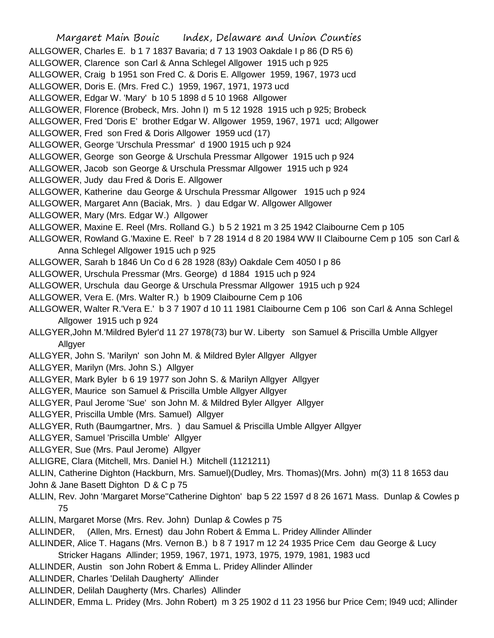Margaret Main Bouic Index, Delaware and Union Counties ALLGOWER, Charles E. b 1 7 1837 Bavaria; d 7 13 1903 Oakdale I p 86 (D R5 6) ALLGOWER, Clarence son Carl & Anna Schlegel Allgower 1915 uch p 925 ALLGOWER, Craig b 1951 son Fred C. & Doris E. Allgower 1959, 1967, 1973 ucd ALLGOWER, Doris E. (Mrs. Fred C.) 1959, 1967, 1971, 1973 ucd ALLGOWER, Edgar W. 'Mary' b 10 5 1898 d 5 10 1968 Allgower ALLGOWER, Florence (Brobeck, Mrs. John I) m 5 12 1928 1915 uch p 925; Brobeck ALLGOWER, Fred 'Doris E' brother Edgar W. Allgower 1959, 1967, 1971 ucd; Allgower ALLGOWER, Fred son Fred & Doris Allgower 1959 ucd (17) ALLGOWER, George 'Urschula Pressmar' d 1900 1915 uch p 924 ALLGOWER, George son George & Urschula Pressmar Allgower 1915 uch p 924 ALLGOWER, Jacob son George & Urschula Pressmar Allgower 1915 uch p 924 ALLGOWER, Judy dau Fred & Doris E. Allgower ALLGOWER, Katherine dau George & Urschula Pressmar Allgower 1915 uch p 924 ALLGOWER, Margaret Ann (Baciak, Mrs. ) dau Edgar W. Allgower Allgower ALLGOWER, Mary (Mrs. Edgar W.) Allgower ALLGOWER, Maxine E. Reel (Mrs. Rolland G.) b 5 2 1921 m 3 25 1942 Claibourne Cem p 105 ALLGOWER, Rowland G.'Maxine E. Reel' b 7 28 1914 d 8 20 1984 WW II Claibourne Cem p 105 son Carl & Anna Schlegel Allgower 1915 uch p 925 ALLGOWER, Sarah b 1846 Un Co d 6 28 1928 (83y) Oakdale Cem 4050 I p 86 ALLGOWER, Urschula Pressmar (Mrs. George) d 1884 1915 uch p 924 ALLGOWER, Urschula dau George & Urschula Pressmar Allgower 1915 uch p 924 ALLGOWER, Vera E. (Mrs. Walter R.) b 1909 Claibourne Cem p 106 ALLGOWER, Walter R.'Vera E.' b 3 7 1907 d 10 11 1981 Claibourne Cem p 106 son Carl & Anna Schlegel Allgower 1915 uch p 924 ALLGYER,John M.'Mildred Byler'd 11 27 1978(73) bur W. Liberty son Samuel & Priscilla Umble Allgyer Allgyer ALLGYER, John S. 'Marilyn' son John M. & Mildred Byler Allgyer Allgyer ALLGYER, Marilyn (Mrs. John S.) Allgyer ALLGYER, Mark Byler b 6 19 1977 son John S. & Marilyn Allgyer Allgyer ALLGYER, Maurice son Samuel & Priscilla Umble Allgyer Allgyer ALLGYER, Paul Jerome 'Sue' son John M. & Mildred Byler Allgyer Allgyer ALLGYER, Priscilla Umble (Mrs. Samuel) Allgyer ALLGYER, Ruth (Baumgartner, Mrs. ) dau Samuel & Priscilla Umble Allgyer Allgyer ALLGYER, Samuel 'Priscilla Umble' Allgyer ALLGYER, Sue (Mrs. Paul Jerome) Allgyer ALLIGRE, Clara (Mitchell, Mrs. Daniel H.) Mitchell (1121211) ALLIN, Catherine Dighton (Hackburn, Mrs. Samuel)(Dudley, Mrs. Thomas)(Mrs. John) m(3) 11 8 1653 dau John & Jane Basett Dighton D & C p 75 ALLIN, Rev. John 'Margaret Morse''Catherine Dighton' bap 5 22 1597 d 8 26 1671 Mass. Dunlap & Cowles p 75 ALLIN, Margaret Morse (Mrs. Rev. John) Dunlap & Cowles p 75 ALLINDER, (Allen, Mrs. Ernest) dau John Robert & Emma L. Pridey Allinder Allinder ALLINDER, Alice T. Hagans (Mrs. Vernon B.) b 8 7 1917 m 12 24 1935 Price Cem dau George & Lucy Stricker Hagans Allinder; 1959, 1967, 1971, 1973, 1975, 1979, 1981, 1983 ucd ALLINDER, Austin son John Robert & Emma L. Pridey Allinder Allinder ALLINDER, Charles 'Delilah Daugherty' Allinder ALLINDER, Delilah Daugherty (Mrs. Charles) Allinder

ALLINDER, Emma L. Pridey (Mrs. John Robert) m 3 25 1902 d 11 23 1956 bur Price Cem; l949 ucd; Allinder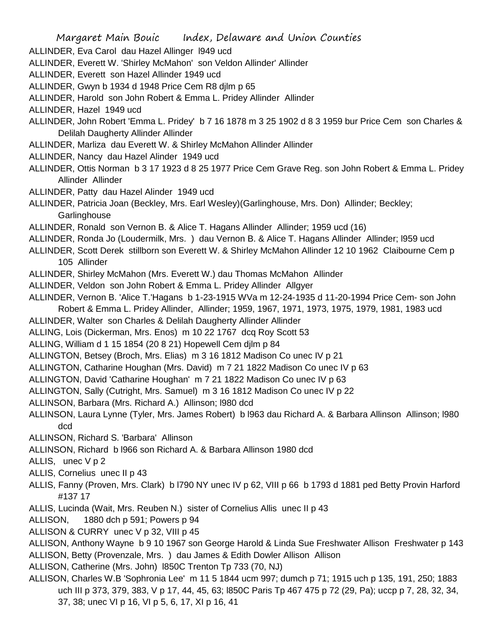- ALLINDER, Eva Carol dau Hazel Allinger l949 ucd
- ALLINDER, Everett W. 'Shirley McMahon' son Veldon Allinder' Allinder
- ALLINDER, Everett son Hazel Allinder 1949 ucd
- ALLINDER, Gwyn b 1934 d 1948 Price Cem R8 djlm p 65
- ALLINDER, Harold son John Robert & Emma L. Pridey Allinder Allinder
- ALLINDER, Hazel 1949 ucd
- ALLINDER, John Robert 'Emma L. Pridey' b 7 16 1878 m 3 25 1902 d 8 3 1959 bur Price Cem son Charles & Delilah Daugherty Allinder Allinder
- ALLINDER, Marliza dau Everett W. & Shirley McMahon Allinder Allinder
- ALLINDER, Nancy dau Hazel Alinder 1949 ucd
- ALLINDER, Ottis Norman b 3 17 1923 d 8 25 1977 Price Cem Grave Reg. son John Robert & Emma L. Pridey Allinder Allinder
- ALLINDER, Patty dau Hazel Alinder 1949 ucd
- ALLINDER, Patricia Joan (Beckley, Mrs. Earl Wesley)(Garlinghouse, Mrs. Don) Allinder; Beckley; **Garlinghouse**
- ALLINDER, Ronald son Vernon B. & Alice T. Hagans Allinder Allinder; 1959 ucd (16)
- ALLINDER, Ronda Jo (Loudermilk, Mrs. ) dau Vernon B. & Alice T. Hagans Allinder Allinder; l959 ucd
- ALLINDER, Scott Derek stillborn son Everett W. & Shirley McMahon Allinder 12 10 1962 Claibourne Cem p 105 Allinder
- ALLINDER, Shirley McMahon (Mrs. Everett W.) dau Thomas McMahon Allinder
- ALLINDER, Veldon son John Robert & Emma L. Pridey Allinder Allgyer
- ALLINDER, Vernon B. 'Alice T.'Hagans b 1-23-1915 WVa m 12-24-1935 d 11-20-1994 Price Cem- son John Robert & Emma L. Pridey Allinder, Allinder; 1959, 1967, 1971, 1973, 1975, 1979, 1981, 1983 ucd
- ALLINDER, Walter son Charles & Delilah Daugherty Allinder Allinder
- ALLING, Lois (Dickerman, Mrs. Enos) m 10 22 1767 dcq Roy Scott 53
- ALLING, William d 1 15 1854 (20 8 21) Hopewell Cem djlm p 84
- ALLINGTON, Betsey (Broch, Mrs. Elias) m 3 16 1812 Madison Co unec IV p 21
- ALLINGTON, Catharine Houghan (Mrs. David) m 7 21 1822 Madison Co unec IV p 63
- ALLINGTON, David 'Catharine Houghan' m 7 21 1822 Madison Co unec IV p 63
- ALLINGTON, Sally (Cutright, Mrs. Samuel) m 3 16 1812 Madison Co unec IV p 22
- ALLINSON, Barbara (Mrs. Richard A.) Allinson; l980 dcd
- ALLINSON, Laura Lynne (Tyler, Mrs. James Robert) b l963 dau Richard A. & Barbara Allinson Allinson; l980 dcd
- ALLINSON, Richard S. 'Barbara' Allinson
- ALLINSON, Richard b l966 son Richard A. & Barbara Allinson 1980 dcd
- ALLIS, unec V p 2
- ALLIS, Cornelius unec II p 43
- ALLIS, Fanny (Proven, Mrs. Clark) b l790 NY unec IV p 62, VIII p 66 b 1793 d 1881 ped Betty Provin Harford #137 17
- ALLIS, Lucinda (Wait, Mrs. Reuben N.) sister of Cornelius Allis unec II p 43
- ALLISON, 1880 dch p 591; Powers p 94
- ALLISON & CURRY unec V p 32, VIII p 45
- ALLISON, Anthony Wayne b 9 10 1967 son George Harold & Linda Sue Freshwater Allison Freshwater p 143 ALLISON, Betty (Provenzale, Mrs. ) dau James & Edith Dowler Allison Allison
- ALLISON, Catherine (Mrs. John) l850C Trenton Tp 733 (70, NJ)
- ALLISON, Charles W.B 'Sophronia Lee' m 11 5 1844 ucm 997; dumch p 71; 1915 uch p 135, 191, 250; 1883 uch III p 373, 379, 383, V p 17, 44, 45, 63; l850C Paris Tp 467 475 p 72 (29, Pa); uccp p 7, 28, 32, 34, 37, 38; unec VI p 16, VI p 5, 6, 17, XI p 16, 41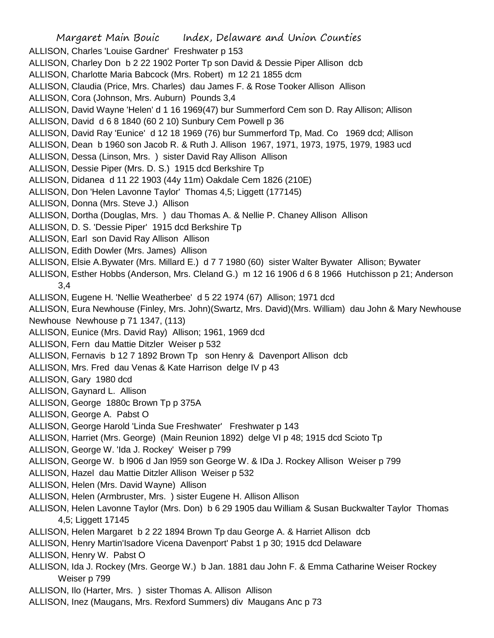Margaret Main Bouic Index, Delaware and Union Counties ALLISON, Charles 'Louise Gardner' Freshwater p 153 ALLISON, Charley Don b 2 22 1902 Porter Tp son David & Dessie Piper Allison dcb ALLISON, Charlotte Maria Babcock (Mrs. Robert) m 12 21 1855 dcm ALLISON, Claudia (Price, Mrs. Charles) dau James F. & Rose Tooker Allison Allison ALLISON, Cora (Johnson, Mrs. Auburn) Pounds 3,4 ALLISON, David Wayne 'Helen' d 1 16 1969(47) bur Summerford Cem son D. Ray Allison; Allison ALLISON, David d 6 8 1840 (60 2 10) Sunbury Cem Powell p 36 ALLISON, David Ray 'Eunice' d 12 18 1969 (76) bur Summerford Tp, Mad. Co 1969 dcd; Allison ALLISON, Dean b 1960 son Jacob R. & Ruth J. Allison 1967, 1971, 1973, 1975, 1979, 1983 ucd ALLISON, Dessa (Linson, Mrs. ) sister David Ray Allison Allison ALLISON, Dessie Piper (Mrs. D. S.) 1915 dcd Berkshire Tp ALLISON, Didanea d 11 22 1903 (44y 11m) Oakdale Cem 1826 (210E) ALLISON, Don 'Helen Lavonne Taylor' Thomas 4,5; Liggett (177145) ALLISON, Donna (Mrs. Steve J.) Allison ALLISON, Dortha (Douglas, Mrs. ) dau Thomas A. & Nellie P. Chaney Allison Allison ALLISON, D. S. 'Dessie Piper' 1915 dcd Berkshire Tp ALLISON, Earl son David Ray Allison Allison ALLISON, Edith Dowler (Mrs. James) Allison ALLISON, Elsie A.Bywater (Mrs. Millard E.) d 7 7 1980 (60) sister Walter Bywater Allison; Bywater ALLISON, Esther Hobbs (Anderson, Mrs. Cleland G.) m 12 16 1906 d 6 8 1966 Hutchisson p 21; Anderson 3,4 ALLISON, Eugene H. 'Nellie Weatherbee' d 5 22 1974 (67) Allison; 1971 dcd ALLISON, Eura Newhouse (Finley, Mrs. John)(Swartz, Mrs. David)(Mrs. William) dau John & Mary Newhouse Newhouse Newhouse p 71 1347, (113) ALLISON, Eunice (Mrs. David Ray) Allison; 1961, 1969 dcd ALLISON, Fern dau Mattie Ditzler Weiser p 532 ALLISON, Fernavis b 12 7 1892 Brown Tp son Henry & Davenport Allison dcb ALLISON, Mrs. Fred dau Venas & Kate Harrison delge IV p 43 ALLISON, Gary 1980 dcd ALLISON, Gaynard L. Allison ALLISON, George 1880c Brown Tp p 375A ALLISON, George A. Pabst O ALLISON, George Harold 'Linda Sue Freshwater' Freshwater p 143 ALLISON, Harriet (Mrs. George) (Main Reunion 1892) delge VI p 48; 1915 dcd Scioto Tp ALLISON, George W. 'Ida J. Rockey' Weiser p 799 ALLISON, George W. b l906 d Jan l959 son George W. & IDa J. Rockey Allison Weiser p 799 ALLISON, Hazel dau Mattie Ditzler Allison Weiser p 532 ALLISON, Helen (Mrs. David Wayne) Allison ALLISON, Helen (Armbruster, Mrs. ) sister Eugene H. Allison Allison ALLISON, Helen Lavonne Taylor (Mrs. Don) b 6 29 1905 dau William & Susan Buckwalter Taylor Thomas 4,5; Liggett 17145 ALLISON, Helen Margaret b 2 22 1894 Brown Tp dau George A. & Harriet Allison dcb ALLISON, Henry Martin'Isadore Vicena Davenport' Pabst 1 p 30; 1915 dcd Delaware ALLISON, Henry W. Pabst O ALLISON, Ida J. Rockey (Mrs. George W.) b Jan. 1881 dau John F. & Emma Catharine Weiser Rockey

Weiser p 799

ALLISON, Ilo (Harter, Mrs. ) sister Thomas A. Allison Allison

ALLISON, Inez (Maugans, Mrs. Rexford Summers) div Maugans Anc p 73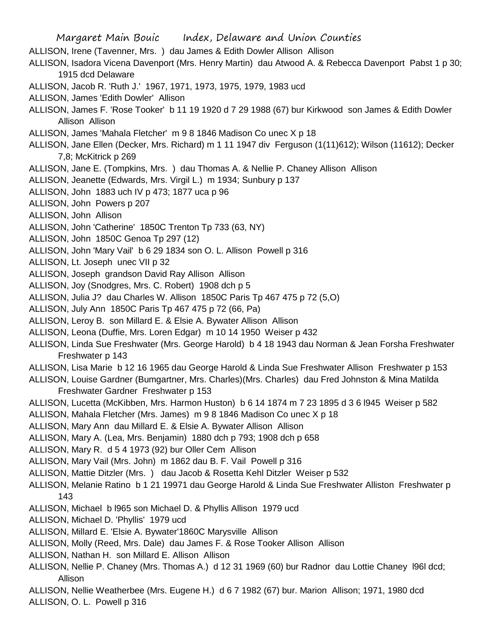Margaret Main Bouic Index, Delaware and Union Counties ALLISON, Irene (Tavenner, Mrs. ) dau James & Edith Dowler Allison Allison ALLISON, Isadora Vicena Davenport (Mrs. Henry Martin) dau Atwood A. & Rebecca Davenport Pabst 1 p 30; 1915 dcd Delaware ALLISON, Jacob R. 'Ruth J.' 1967, 1971, 1973, 1975, 1979, 1983 ucd ALLISON, James 'Edith Dowler' Allison ALLISON, James F. 'Rose Tooker' b 11 19 1920 d 7 29 1988 (67) bur Kirkwood son James & Edith Dowler Allison Allison ALLISON, James 'Mahala Fletcher' m 9 8 1846 Madison Co unec X p 18 ALLISON, Jane Ellen (Decker, Mrs. Richard) m 1 11 1947 div Ferguson (1(11)612); Wilson (11612); Decker 7,8; McKitrick p 269 ALLISON, Jane E. (Tompkins, Mrs. ) dau Thomas A. & Nellie P. Chaney Allison Allison ALLISON, Jeanette (Edwards, Mrs. Virgil L.) m 1934; Sunbury p 137 ALLISON, John 1883 uch IV p 473; 1877 uca p 96 ALLISON, John Powers p 207 ALLISON, John Allison ALLISON, John 'Catherine' 1850C Trenton Tp 733 (63, NY) ALLISON, John 1850C Genoa Tp 297 (12) ALLISON, John 'Mary Vail' b 6 29 1834 son O. L. Allison Powell p 316 ALLISON, Lt. Joseph unec VII p 32 ALLISON, Joseph grandson David Ray Allison Allison ALLISON, Joy (Snodgres, Mrs. C. Robert) 1908 dch p 5 ALLISON, Julia J? dau Charles W. Allison 1850C Paris Tp 467 475 p 72 (5,O) ALLISON, July Ann 1850C Paris Tp 467 475 p 72 (66, Pa) ALLISON, Leroy B. son Millard E. & Elsie A. Bywater Allison Allison ALLISON, Leona (Duffie, Mrs. Loren Edgar) m 10 14 1950 Weiser p 432 ALLISON, Linda Sue Freshwater (Mrs. George Harold) b 4 18 1943 dau Norman & Jean Forsha Freshwater Freshwater p 143 ALLISON, Lisa Marie b 12 16 1965 dau George Harold & Linda Sue Freshwater Allison Freshwater p 153 ALLISON, Louise Gardner (Bumgartner, Mrs. Charles)(Mrs. Charles) dau Fred Johnston & Mina Matilda Freshwater Gardner Freshwater p 153 ALLISON, Lucetta (McKibben, Mrs. Harmon Huston) b 6 14 1874 m 7 23 1895 d 3 6 l945 Weiser p 582 ALLISON, Mahala Fletcher (Mrs. James) m 9 8 1846 Madison Co unec X p 18 ALLISON, Mary Ann dau Millard E. & Elsie A. Bywater Allison Allison ALLISON, Mary A. (Lea, Mrs. Benjamin) 1880 dch p 793; 1908 dch p 658 ALLISON, Mary R. d 5 4 1973 (92) bur Oller Cem Allison ALLISON, Mary Vail (Mrs. John) m 1862 dau B. F. Vail Powell p 316 ALLISON, Mattie Ditzler (Mrs. ) dau Jacob & Rosetta Kehl Ditzler Weiser p 532 ALLISON, Melanie Ratino b 1 21 19971 dau George Harold & Linda Sue Freshwater Alliston Freshwater p 143 ALLISON, Michael b l965 son Michael D. & Phyllis Allison 1979 ucd ALLISON, Michael D. 'Phyllis' 1979 ucd ALLISON, Millard E. 'Elsie A. Bywater'1860C Marysville Allison ALLISON, Molly (Reed, Mrs. Dale) dau James F. & Rose Tooker Allison Allison ALLISON, Nathan H. son Millard E. Allison Allison ALLISON, Nellie P. Chaney (Mrs. Thomas A.) d 12 31 1969 (60) bur Radnor dau Lottie Chaney l96l dcd; Allison

ALLISON, Nellie Weatherbee (Mrs. Eugene H.) d 6 7 1982 (67) bur. Marion Allison; 1971, 1980 dcd ALLISON, O. L. Powell p 316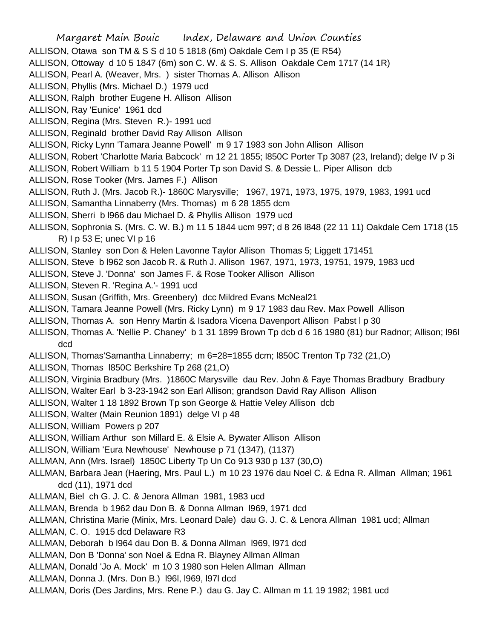Margaret Main Bouic Index, Delaware and Union Counties ALLISON, Otawa son TM & S S d 10 5 1818 (6m) Oakdale Cem I p 35 (E R54) ALLISON, Ottoway d 10 5 1847 (6m) son C. W. & S. S. Allison Oakdale Cem 1717 (14 1R) ALLISON, Pearl A. (Weaver, Mrs. ) sister Thomas A. Allison Allison ALLISON, Phyllis (Mrs. Michael D.) 1979 ucd ALLISON, Ralph brother Eugene H. Allison Allison ALLISON, Ray 'Eunice' 1961 dcd ALLISON, Regina (Mrs. Steven R.)- 1991 ucd ALLISON, Reginald brother David Ray Allison Allison ALLISON, Ricky Lynn 'Tamara Jeanne Powell' m 9 17 1983 son John Allison Allison ALLISON, Robert 'Charlotte Maria Babcock' m 12 21 1855; l850C Porter Tp 3087 (23, Ireland); delge IV p 3i ALLISON, Robert William b 11 5 1904 Porter Tp son David S. & Dessie L. Piper Allison dcb ALLISON, Rose Tooker (Mrs. James F.) Allison ALLISON, Ruth J. (Mrs. Jacob R.)- 1860C Marysville; 1967, 1971, 1973, 1975, 1979, 1983, 1991 ucd ALLISON, Samantha Linnaberry (Mrs. Thomas) m 6 28 1855 dcm ALLISON, Sherri b l966 dau Michael D. & Phyllis Allison 1979 ucd ALLISON, Sophronia S. (Mrs. C. W. B.) m 11 5 1844 ucm 997; d 8 26 l848 (22 11 11) Oakdale Cem 1718 (15 R) I p 53 E; unec VI p 16 ALLISON, Stanley son Don & Helen Lavonne Taylor Allison Thomas 5; Liggett 171451 ALLISON, Steve b l962 son Jacob R. & Ruth J. Allison 1967, 1971, 1973, 19751, 1979, 1983 ucd ALLISON, Steve J. 'Donna' son James F. & Rose Tooker Allison Allison ALLISON, Steven R. 'Regina A.'- 1991 ucd ALLISON, Susan (Griffith, Mrs. Greenbery) dcc Mildred Evans McNeal21 ALLISON, Tamara Jeanne Powell (Mrs. Ricky Lynn) m 9 17 1983 dau Rev. Max Powell Allison ALLISON, Thomas A. son Henry Martin & Isadora Vicena Davenport Allison Pabst l p 30 ALLISON, Thomas A. 'Nellie P. Chaney' b 1 31 1899 Brown Tp dcb d 6 16 1980 (81) bur Radnor; Allison; l96l dcd ALLISON, Thomas'Samantha Linnaberry; m 6=28=1855 dcm; l850C Trenton Tp 732 (21,O) ALLISON, Thomas l850C Berkshire Tp 268 (21,O) ALLISON, Virginia Bradbury (Mrs. )1860C Marysville dau Rev. John & Faye Thomas Bradbury Bradbury ALLISON, Walter Earl b 3-23-1942 son Earl Allison; grandson David Ray Allison Allison ALLISON, Walter 1 18 1892 Brown Tp son George & Hattie Veley Allison dcb ALLISON, Walter (Main Reunion 1891) delge VI p 48 ALLISON, William Powers p 207 ALLISON, William Arthur son Millard E. & Elsie A. Bywater Allison Allison ALLISON, William 'Eura Newhouse' Newhouse p 71 (1347), (1137) ALLMAN, Ann (Mrs. Israel) 1850C Liberty Tp Un Co 913 930 p 137 (30,O) ALLMAN, Barbara Jean (Haering, Mrs. Paul L.) m 10 23 1976 dau Noel C. & Edna R. Allman Allman; 1961 dcd (11), 1971 dcd ALLMAN, Biel ch G. J. C. & Jenora Allman 1981, 1983 ucd ALLMAN, Brenda b 1962 dau Don B. & Donna Allman l969, 1971 dcd ALLMAN, Christina Marie (Minix, Mrs. Leonard Dale) dau G. J. C. & Lenora Allman 1981 ucd; Allman ALLMAN, C. O. 1915 dcd Delaware R3 ALLMAN, Deborah b l964 dau Don B. & Donna Allman l969, l971 dcd ALLMAN, Don B 'Donna' son Noel & Edna R. Blayney Allman Allman ALLMAN, Donald 'Jo A. Mock' m 10 3 1980 son Helen Allman Allman ALLMAN, Donna J. (Mrs. Don B.) l96l, l969, l97l dcd ALLMAN, Doris (Des Jardins, Mrs. Rene P.) dau G. Jay C. Allman m 11 19 1982; 1981 ucd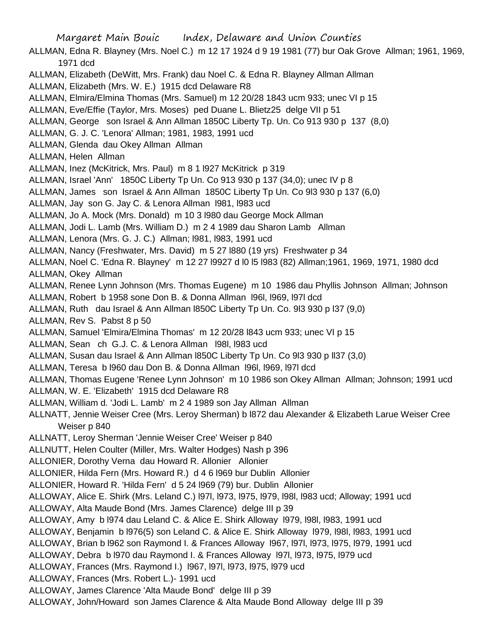Margaret Main Bouic Index, Delaware and Union Counties ALLMAN, Edna R. Blayney (Mrs. Noel C.) m 12 17 1924 d 9 19 1981 (77) bur Oak Grove Allman; 1961, 1969, 1971 dcd ALLMAN, Elizabeth (DeWitt, Mrs. Frank) dau Noel C. & Edna R. Blayney Allman Allman ALLMAN, Elizabeth (Mrs. W. E.) 1915 dcd Delaware R8 ALLMAN, Elmira/Elmina Thomas (Mrs. Samuel) m 12 20/28 1843 ucm 933; unec VI p 15 ALLMAN, Eve/Effie (Taylor, Mrs. Moses) ped Duane L. Blietz25 delge VII p 51 ALLMAN, George son Israel & Ann Allman 1850C Liberty Tp. Un. Co 913 930 p 137 (8,0) ALLMAN, G. J. C. 'Lenora' Allman; 1981, 1983, 1991 ucd ALLMAN, Glenda dau Okey Allman Allman ALLMAN, Helen Allman ALLMAN, Inez (McKitrick, Mrs. Paul) m 8 1 l927 McKitrick p 319 ALLMAN, Israel 'Ann' 1850C Liberty Tp Un. Co 913 930 p 137 (34,0); unec IV p 8 ALLMAN, James son Israel & Ann Allman 1850C Liberty Tp Un. Co 9l3 930 p 137 (6,0) ALLMAN, Jay son G. Jay C. & Lenora Allman l981, l983 ucd ALLMAN, Jo A. Mock (Mrs. Donald) m 10 3 l980 dau George Mock Allman ALLMAN, Jodi L. Lamb (Mrs. William D.) m 2 4 1989 dau Sharon Lamb Allman ALLMAN, Lenora (Mrs. G. J. C.) Allman; l981, l983, 1991 ucd ALLMAN, Nancy (Freshwater, Mrs. David) m 5 27 l880 (19 yrs) Freshwater p 34 ALLMAN, Noel C. 'Edna R. Blayney' m 12 27 l9927 d l0 l5 l983 (82) Allman;1961, 1969, 1971, 1980 dcd ALLMAN, Okey Allman ALLMAN, Renee Lynn Johnson (Mrs. Thomas Eugene) m 10 1986 dau Phyllis Johnson Allman; Johnson ALLMAN, Robert b 1958 sone Don B. & Donna Allman l96l, l969, l97l dcd ALLMAN, Ruth dau Israel & Ann Allman l850C Liberty Tp Un. Co. 9l3 930 p l37 (9,0) ALLMAN, Rev S. Pabst 8 p 50 ALLMAN, Samuel 'Elmira/Elmina Thomas' m 12 20/28 l843 ucm 933; unec VI p 15 ALLMAN, Sean ch G.J. C. & Lenora Allman l98l, l983 ucd ALLMAN, Susan dau Israel & Ann Allman l850C Liberty Tp Un. Co 9l3 930 p ll37 (3,0) ALLMAN, Teresa b l960 dau Don B. & Donna Allman l96l, l969, l97l dcd ALLMAN, Thomas Eugene 'Renee Lynn Johnson' m 10 1986 son Okey Allman Allman; Johnson; 1991 ucd ALLMAN, W. E. 'Elizabeth' 1915 dcd Delaware R8 ALLMAN, William d. 'Jodi L. Lamb' m 2 4 1989 son Jay Allman Allman ALLNATT, Jennie Weiser Cree (Mrs. Leroy Sherman) b l872 dau Alexander & Elizabeth Larue Weiser Cree Weiser p 840 ALLNATT, Leroy Sherman 'Jennie Weiser Cree' Weiser p 840 ALLNUTT, Helen Coulter (Miller, Mrs. Walter Hodges) Nash p 396 ALLONIER, Dorothy Verna dau Howard R. Allonier Allonier ALLONIER, Hilda Fern (Mrs. Howard R.) d 4 6 l969 bur Dublin Allonier ALLONIER, Howard R. 'Hilda Fern' d 5 24 l969 (79) bur. Dublin Allonier ALLOWAY, Alice E. Shirk (Mrs. Leland C.) l97l, l973, l975, l979, l98l, l983 ucd; Alloway; 1991 ucd ALLOWAY, Alta Maude Bond (Mrs. James Clarence) delge III p 39 ALLOWAY, Amy b l974 dau Leland C. & Alice E. Shirk Alloway l979, l98l, l983, 1991 ucd ALLOWAY, Benjamin b l976(5) son Leland C. & Alice E. Shirk Alloway l979, l98l, l983, 1991 ucd ALLOWAY, Brian b l962 son Raymond I. & Frances Alloway l967, l97l, l973, l975, l979, 1991 ucd ALLOWAY, Debra b l970 dau Raymond I. & Frances Alloway l97l, l973, l975, l979 ucd ALLOWAY, Frances (Mrs. Raymond I.) 1967, 1971, 1973, 1975, 1979 ucd ALLOWAY, Frances (Mrs. Robert L.)- 1991 ucd ALLOWAY, James Clarence 'Alta Maude Bond' delge III p 39 ALLOWAY, John/Howard son James Clarence & Alta Maude Bond Alloway delge III p 39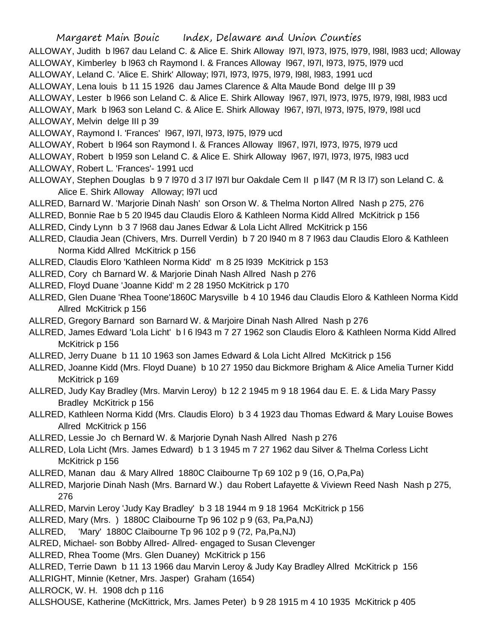Margaret Main Bouic Index, Delaware and Union Counties ALLOWAY, Judith b l967 dau Leland C. & Alice E. Shirk Alloway l97l, l973, l975, l979, l98l, l983 ucd; Alloway ALLOWAY, Kimberley b l963 ch Raymond I. & Frances Alloway l967, l97l, l973, l975, l979 ucd ALLOWAY, Leland C. 'Alice E. Shirk' Alloway; l97l, l973, l975, l979, l98l, l983, 1991 ucd ALLOWAY, Lena louis b 11 15 1926 dau James Clarence & Alta Maude Bond delge III p 39 ALLOWAY, Lester b l966 son Leland C. & Alice E. Shirk Alloway l967, l97l, l973, l975, l979, l98l, l983 ucd ALLOWAY, Mark b 1963 son Leland C. & Alice E. Shirk Alloway 1967, 1971, 1973, 1975, 1979, 1981 ucd ALLOWAY, Melvin delge III p 39 ALLOWAY, Raymond I. 'Frances' l967, l97l, l973, l975, l979 ucd ALLOWAY, Robert b l964 son Raymond I. & Frances Alloway II967, l971, l973, l975, l979 ucd

- ALLOWAY, Robert b l959 son Leland C. & Alice E. Shirk Alloway l967, l97l, l973, l975, l983 ucd
- ALLOWAY, Robert L. 'Frances'- 1991 ucd
- ALLOWAY, Stephen Douglas b 9 7 l970 d 3 l7 l97l bur Oakdale Cem II p ll47 (M R l3 l7) son Leland C. & Alice E. Shirk Alloway Alloway; l97l ucd
- ALLRED, Barnard W. 'Marjorie Dinah Nash' son Orson W. & Thelma Norton Allred Nash p 275, 276
- ALLRED, Bonnie Rae b 5 20 l945 dau Claudis Eloro & Kathleen Norma Kidd Allred McKitrick p 156
- ALLRED, Cindy Lynn b 3 7 l968 dau Janes Edwar & Lola Licht Allred McKitrick p 156
- ALLRED, Claudia Jean (Chivers, Mrs. Durrell Verdin) b 7 20 l940 m 8 7 l963 dau Claudis Eloro & Kathleen Norma Kidd Allred McKitrick p 156
- ALLRED, Claudis Eloro 'Kathleen Norma Kidd' m 8 25 l939 McKitrick p 153
- ALLRED, Cory ch Barnard W. & Marjorie Dinah Nash Allred Nash p 276
- ALLRED, Floyd Duane 'Joanne Kidd' m 2 28 1950 McKitrick p 170
- ALLRED, Glen Duane 'Rhea Toone'1860C Marysville b 4 10 1946 dau Claudis Eloro & Kathleen Norma Kidd Allred McKitrick p 156
- ALLRED, Gregory Barnard son Barnard W. & Marjoire Dinah Nash Allred Nash p 276
- ALLRED, James Edward 'Lola Licht' b l 6 l943 m 7 27 1962 son Claudis Eloro & Kathleen Norma Kidd Allred McKitrick p 156
- ALLRED, Jerry Duane b 11 10 1963 son James Edward & Lola Licht Allred McKitrick p 156
- ALLRED, Joanne Kidd (Mrs. Floyd Duane) b 10 27 1950 dau Bickmore Brigham & Alice Amelia Turner Kidd McKitrick p 169
- ALLRED, Judy Kay Bradley (Mrs. Marvin Leroy) b 12 2 1945 m 9 18 1964 dau E. E. & Lida Mary Passy Bradley McKitrick p 156
- ALLRED, Kathleen Norma Kidd (Mrs. Claudis Eloro) b 3 4 1923 dau Thomas Edward & Mary Louise Bowes Allred McKitrick p 156
- ALLRED, Lessie Jo ch Bernard W. & Marjorie Dynah Nash Allred Nash p 276
- ALLRED, Lola Licht (Mrs. James Edward) b 1 3 1945 m 7 27 1962 dau Silver & Thelma Corless Licht McKitrick p 156
- ALLRED, Manan dau & Mary Allred 1880C Claibourne Tp 69 102 p 9 (16, O,Pa,Pa)
- ALLRED, Marjorie Dinah Nash (Mrs. Barnard W.) dau Robert Lafayette & Viviewn Reed Nash Nash p 275, 276
- ALLRED, Marvin Leroy 'Judy Kay Bradley' b 3 18 1944 m 9 18 1964 McKitrick p 156
- ALLRED, Mary (Mrs. ) 1880C Claibourne Tp 96 102 p 9 (63, Pa,Pa,NJ)
- ALLRED, 'Mary' 1880C Claibourne Tp 96 102 p 9 (72, Pa,Pa,NJ)
- ALRED, Michael- son Bobby Allred- Allred- engaged to Susan Clevenger
- ALLRED, Rhea Toome (Mrs. Glen Duaney) McKitrick p 156
- ALLRED, Terrie Dawn b 11 13 1966 dau Marvin Leroy & Judy Kay Bradley Allred McKitrick p 156
- ALLRIGHT, Minnie (Ketner, Mrs. Jasper) Graham (1654)
- ALLROCK, W. H. 1908 dch p 116
- ALLSHOUSE, Katherine (McKittrick, Mrs. James Peter) b 9 28 1915 m 4 10 1935 McKitrick p 405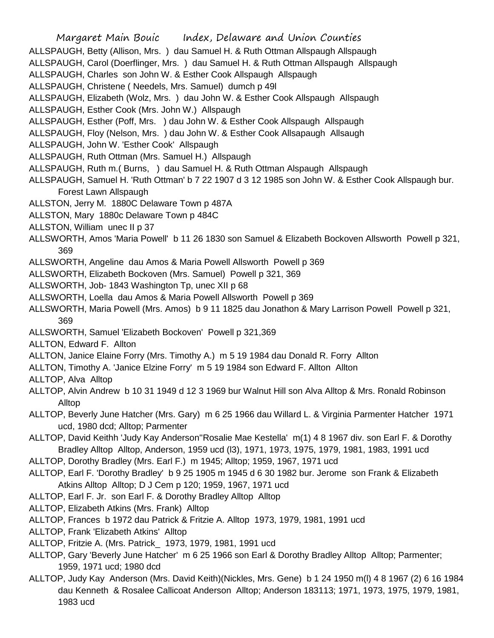Margaret Main Bouic Index, Delaware and Union Counties ALLSPAUGH, Betty (Allison, Mrs. ) dau Samuel H. & Ruth Ottman Allspaugh Allspaugh ALLSPAUGH, Carol (Doerflinger, Mrs. ) dau Samuel H. & Ruth Ottman Allspaugh Allspaugh ALLSPAUGH, Charles son John W. & Esther Cook Allspaugh Allspaugh ALLSPAUGH, Christene ( Needels, Mrs. Samuel) dumch p 49l ALLSPAUGH, Elizabeth (Wolz, Mrs. ) dau John W. & Esther Cook Allspaugh Allspaugh ALLSPAUGH, Esther Cook (Mrs. John W.) Allspaugh ALLSPAUGH, Esther (Poff, Mrs. ) dau John W. & Esther Cook Allspaugh Allspaugh ALLSPAUGH, Floy (Nelson, Mrs. ) dau John W. & Esther Cook Allsapaugh Allsaugh ALLSPAUGH, John W. 'Esther Cook' Allspaugh ALLSPAUGH, Ruth Ottman (Mrs. Samuel H.) Allspaugh ALLSPAUGH, Ruth m.( Burns, ) dau Samuel H. & Ruth Ottman Alspaugh Allspaugh ALLSPAUGH, Samuel H. 'Ruth Ottman' b 7 22 1907 d 3 12 1985 son John W. & Esther Cook Allspaugh bur. Forest Lawn Allspaugh ALLSTON, Jerry M. 1880C Delaware Town p 487A ALLSTON, Mary 1880c Delaware Town p 484C ALLSTON, William unec II p 37 ALLSWORTH, Amos 'Maria Powell' b 11 26 1830 son Samuel & Elizabeth Bockoven Allsworth Powell p 321, 369 ALLSWORTH, Angeline dau Amos & Maria Powell Allsworth Powell p 369 ALLSWORTH, Elizabeth Bockoven (Mrs. Samuel) Powell p 321, 369 ALLSWORTH, Job- 1843 Washington Tp, unec XII p 68 ALLSWORTH, Loella dau Amos & Maria Powell Allsworth Powell p 369 ALLSWORTH, Maria Powell (Mrs. Amos) b 9 11 1825 dau Jonathon & Mary Larrison Powell Powell p 321, 369 ALLSWORTH, Samuel 'Elizabeth Bockoven' Powell p 321,369 ALLTON, Edward F. Allton ALLTON, Janice Elaine Forry (Mrs. Timothy A.) m 5 19 1984 dau Donald R. Forry Allton ALLTON, Timothy A. 'Janice Elzine Forry' m 5 19 1984 son Edward F. Allton Allton ALLTOP, Alva Alltop ALLTOP, Alvin Andrew b 10 31 1949 d 12 3 1969 bur Walnut Hill son Alva Alltop & Mrs. Ronald Robinson Alltop ALLTOP, Beverly June Hatcher (Mrs. Gary) m 6 25 1966 dau Willard L. & Virginia Parmenter Hatcher 1971 ucd, 1980 dcd; Alltop; Parmenter ALLTOP, David Keithh 'Judy Kay Anderson''Rosalie Mae Kestella' m(1) 4 8 1967 div. son Earl F. & Dorothy Bradley Alltop Alltop, Anderson, 1959 ucd (l3), 1971, 1973, 1975, 1979, 1981, 1983, 1991 ucd ALLTOP, Dorothy Bradley (Mrs. Earl F.) m 1945; Alltop; 1959, 1967, 1971 ucd ALLTOP, Earl F. 'Dorothy Bradley' b 9 25 1905 m 1945 d 6 30 1982 bur. Jerome son Frank & Elizabeth Atkins Alltop Alltop; D J Cem p 120; 1959, 1967, 1971 ucd ALLTOP, Earl F. Jr. son Earl F. & Dorothy Bradley Alltop Alltop ALLTOP, Elizabeth Atkins (Mrs. Frank) Alltop ALLTOP, Frances b 1972 dau Patrick & Fritzie A. Alltop 1973, 1979, 1981, 1991 ucd

- ALLTOP, Frank 'Elizabeth Atkins' Alltop
- ALLTOP, Fritzie A. (Mrs. Patrick\_ 1973, 1979, 1981, 1991 ucd
- ALLTOP, Gary 'Beverly June Hatcher' m 6 25 1966 son Earl & Dorothy Bradley Alltop Alltop; Parmenter; 1959, 1971 ucd; 1980 dcd
- ALLTOP, Judy Kay Anderson (Mrs. David Keith)(Nickles, Mrs. Gene) b 1 24 1950 m(l) 4 8 1967 (2) 6 16 1984 dau Kenneth & Rosalee Callicoat Anderson Alltop; Anderson 183113; 1971, 1973, 1975, 1979, 1981, 1983 ucd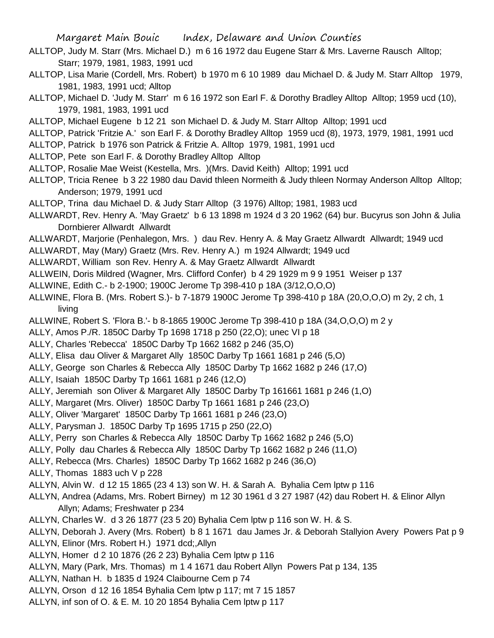- ALLTOP, Judy M. Starr (Mrs. Michael D.) m 6 16 1972 dau Eugene Starr & Mrs. Laverne Rausch Alltop; Starr; 1979, 1981, 1983, 1991 ucd
- ALLTOP, Lisa Marie (Cordell, Mrs. Robert) b 1970 m 6 10 1989 dau Michael D. & Judy M. Starr Alltop 1979, 1981, 1983, 1991 ucd; Alltop
- ALLTOP, Michael D. 'Judy M. Starr' m 6 16 1972 son Earl F. & Dorothy Bradley Alltop Alltop; 1959 ucd (10), 1979, 1981, 1983, 1991 ucd
- ALLTOP, Michael Eugene b 12 21 son Michael D. & Judy M. Starr Alltop Alltop; 1991 ucd
- ALLTOP, Patrick 'Fritzie A.' son Earl F. & Dorothy Bradley Alltop 1959 ucd (8), 1973, 1979, 1981, 1991 ucd
- ALLTOP, Patrick b 1976 son Patrick & Fritzie A. Alltop 1979, 1981, 1991 ucd
- ALLTOP, Pete son Earl F. & Dorothy Bradley Alltop Alltop
- ALLTOP, Rosalie Mae Weist (Kestella, Mrs. )(Mrs. David Keith) Alltop; 1991 ucd
- ALLTOP, Tricia Renee b 3 22 1980 dau David thleen Normeith & Judy thleen Normay Anderson Alltop Alltop; Anderson; 1979, 1991 ucd
- ALLTOP, Trina dau Michael D. & Judy Starr Alltop (3 1976) Alltop; 1981, 1983 ucd
- ALLWARDT, Rev. Henry A. 'May Graetz' b 6 13 1898 m 1924 d 3 20 1962 (64) bur. Bucyrus son John & Julia Dornbierer Allwardt Allwardt
- ALLWARDT, Marjorie (Penhalegon, Mrs. ) dau Rev. Henry A. & May Graetz Allwardt Allwardt; 1949 ucd
- ALLWARDT, May (Mary) Graetz (Mrs. Rev. Henry A.) m 1924 Allwardt; 1949 ucd
- ALLWARDT, William son Rev. Henry A. & May Graetz Allwardt Allwardt
- ALLWEIN, Doris Mildred (Wagner, Mrs. Clifford Confer) b 4 29 1929 m 9 9 1951 Weiser p 137
- ALLWINE, Edith C.- b 2-1900; 1900C Jerome Tp 398-410 p 18A (3/12,O,O,O)
- ALLWINE, Flora B. (Mrs. Robert S.)- b 7-1879 1900C Jerome Tp 398-410 p 18A (20,O,O,O) m 2y, 2 ch, 1 living
- ALLWINE, Robert S. 'Flora B.'- b 8-1865 1900C Jerome Tp 398-410 p 18A (34,O,O,O) m 2 y
- ALLY, Amos P./R. 1850C Darby Tp 1698 1718 p 250 (22,O); unec VI p 18
- ALLY, Charles 'Rebecca' 1850C Darby Tp 1662 1682 p 246 (35,O)
- ALLY, Elisa dau Oliver & Margaret Ally 1850C Darby Tp 1661 1681 p 246 (5,O)
- ALLY, George son Charles & Rebecca Ally 1850C Darby Tp 1662 1682 p 246 (17,O)
- ALLY, Isaiah 1850C Darby Tp 1661 1681 p 246 (12,O)
- ALLY, Jeremiah son Oliver & Margaret Ally 1850C Darby Tp 161661 1681 p 246 (1,O)
- ALLY, Margaret (Mrs. Oliver) 1850C Darby Tp 1661 1681 p 246 (23,O)
- ALLY, Oliver 'Margaret' 1850C Darby Tp 1661 1681 p 246 (23,O)
- ALLY, Parysman J. 1850C Darby Tp 1695 1715 p 250 (22,O)
- ALLY, Perry son Charles & Rebecca Ally 1850C Darby Tp 1662 1682 p 246 (5,O)
- ALLY, Polly dau Charles & Rebecca Ally 1850C Darby Tp 1662 1682 p 246 (11,O)
- ALLY, Rebecca (Mrs. Charles) 1850C Darby Tp 1662 1682 p 246 (36,O)
- ALLY, Thomas 1883 uch V p 228
- ALLYN, Alvin W. d 12 15 1865 (23 4 13) son W. H. & Sarah A. Byhalia Cem lptw p 116
- ALLYN, Andrea (Adams, Mrs. Robert Birney) m 12 30 1961 d 3 27 1987 (42) dau Robert H. & Elinor Allyn Allyn; Adams; Freshwater p 234
- ALLYN, Charles W. d 3 26 1877 (23 5 20) Byhalia Cem lptw p 116 son W. H. & S.
- ALLYN, Deborah J. Avery (Mrs. Robert) b 8 1 1671 dau James Jr. & Deborah Stallyion Avery Powers Pat p 9
- ALLYN, Elinor (Mrs. Robert H.) 1971 dcd;,Allyn
- ALLYN, Homer d 2 10 1876 (26 2 23) Byhalia Cem lptw p 116
- ALLYN, Mary (Park, Mrs. Thomas) m 1 4 1671 dau Robert Allyn Powers Pat p 134, 135
- ALLYN, Nathan H. b 1835 d 1924 Claibourne Cem p 74
- ALLYN, Orson d 12 16 1854 Byhalia Cem lptw p 117; mt 7 15 1857
- ALLYN, inf son of O. & E. M. 10 20 1854 Byhalia Cem lptw p 117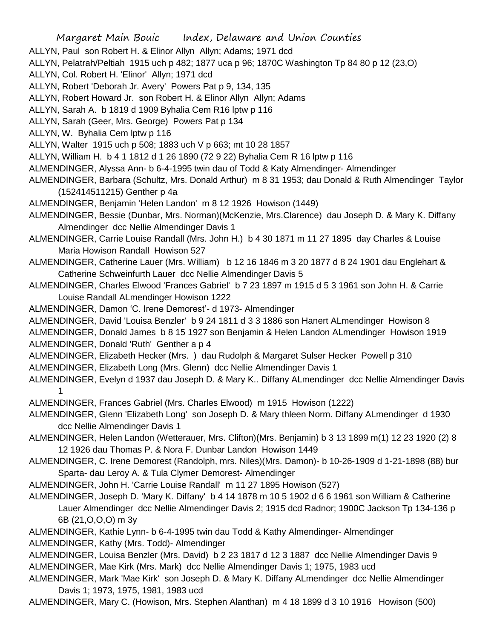- ALLYN, Paul son Robert H. & Elinor Allyn Allyn; Adams; 1971 dcd
- ALLYN, Pelatrah/Peltiah 1915 uch p 482; 1877 uca p 96; 1870C Washington Tp 84 80 p 12 (23,O)
- ALLYN, Col. Robert H. 'Elinor' Allyn; 1971 dcd
- ALLYN, Robert 'Deborah Jr. Avery' Powers Pat p 9, 134, 135
- ALLYN, Robert Howard Jr. son Robert H. & Elinor Allyn Allyn; Adams
- ALLYN, Sarah A. b 1819 d 1909 Byhalia Cem R16 lptw p 116
- ALLYN, Sarah (Geer, Mrs. George) Powers Pat p 134
- ALLYN, W. Byhalia Cem lptw p 116
- ALLYN, Walter 1915 uch p 508; 1883 uch V p 663; mt 10 28 1857
- ALLYN, William H. b 4 1 1812 d 1 26 1890 (72 9 22) Byhalia Cem R 16 lptw p 116
- ALMENDINGER, Alyssa Ann- b 6-4-1995 twin dau of Todd & Katy Almendinger- Almendinger
- ALMENDINGER, Barbara (Schultz, Mrs. Donald Arthur) m 8 31 1953; dau Donald & Ruth Almendinger Taylor (152414511215) Genther p 4a
- ALMENDINGER, Benjamin 'Helen Landon' m 8 12 1926 Howison (1449)
- ALMENDINGER, Bessie (Dunbar, Mrs. Norman)(McKenzie, Mrs.Clarence) dau Joseph D. & Mary K. Diffany Almendinger dcc Nellie Almendinger Davis 1
- ALMENDINGER, Carrie Louise Randall (Mrs. John H.) b 4 30 1871 m 11 27 1895 day Charles & Louise Maria Howison Randall Howison 527
- ALMENDINGER, Catherine Lauer (Mrs. William) b 12 16 1846 m 3 20 1877 d 8 24 1901 dau Englehart & Catherine Schweinfurth Lauer dcc Nellie Almendinger Davis 5
- ALMENDINGER, Charles Elwood 'Frances Gabriel' b 7 23 1897 m 1915 d 5 3 1961 son John H. & Carrie Louise Randall ALmendinger Howison 1222
- ALMENDINGER, Damon 'C. Irene Demorest'- d 1973- Almendinger
- ALMENDINGER, David 'Louisa Benzler' b 9 24 1811 d 3 3 1886 son Hanert ALmendinger Howison 8
- ALMENDINGER, Donald James b 8 15 1927 son Benjamin & Helen Landon ALmendinger Howison 1919 ALMENDINGER, Donald 'Ruth' Genther a p 4
- ALMENDINGER, Elizabeth Hecker (Mrs. ) dau Rudolph & Margaret Sulser Hecker Powell p 310
- ALMENDINGER, Elizabeth Long (Mrs. Glenn) dcc Nellie Almendinger Davis 1
- ALMENDINGER, Evelyn d 1937 dau Joseph D. & Mary K.. Diffany ALmendinger dcc Nellie Almendinger Davis 1
- ALMENDINGER, Frances Gabriel (Mrs. Charles Elwood) m 1915 Howison (1222)
- ALMENDINGER, Glenn 'Elizabeth Long' son Joseph D. & Mary thleen Norm. Diffany ALmendinger d 1930 dcc Nellie Almendinger Davis 1
- ALMENDINGER, Helen Landon (Wetterauer, Mrs. Clifton)(Mrs. Benjamin) b 3 13 1899 m(1) 12 23 1920 (2) 8 12 1926 dau Thomas P. & Nora F. Dunbar Landon Howison 1449
- ALMENDINGER, C. Irene Demorest (Randolph, mrs. Niles)(Mrs. Damon)- b 10-26-1909 d 1-21-1898 (88) bur Sparta- dau Leroy A. & Tula Clymer Demorest- Almendinger
- ALMENDINGER, John H. 'Carrie Louise Randall' m 11 27 1895 Howison (527)
- ALMENDINGER, Joseph D. 'Mary K. Diffany' b 4 14 1878 m 10 5 1902 d 6 6 1961 son William & Catherine Lauer Almendinger dcc Nellie Almendinger Davis 2; 1915 dcd Radnor; 1900C Jackson Tp 134-136 p 6B (21,O,O,O) m 3y
- ALMENDINGER, Kathie Lynn- b 6-4-1995 twin dau Todd & Kathy Almendinger- Almendinger ALMENDINGER, Kathy (Mrs. Todd)- Almendinger
- ALMENDINGER, Louisa Benzler (Mrs. David) b 2 23 1817 d 12 3 1887 dcc Nellie Almendinger Davis 9 ALMENDINGER, Mae Kirk (Mrs. Mark) dcc Nellie Almendinger Davis 1; 1975, 1983 ucd
- ALMENDINGER, Mark 'Mae Kirk' son Joseph D. & Mary K. Diffany ALmendinger dcc Nellie Almendinger Davis 1; 1973, 1975, 1981, 1983 ucd
- ALMENDINGER, Mary C. (Howison, Mrs. Stephen Alanthan) m 4 18 1899 d 3 10 1916 Howison (500)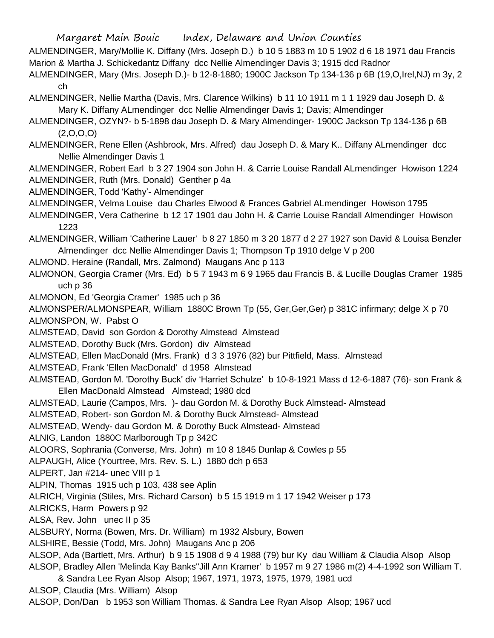ALMENDINGER, Mary/Mollie K. Diffany (Mrs. Joseph D.) b 10 5 1883 m 10 5 1902 d 6 18 1971 dau Francis Marion & Martha J. Schickedantz Diffany dcc Nellie Almendinger Davis 3; 1915 dcd Radnor

ALMENDINGER, Mary (Mrs. Joseph D.)- b 12-8-1880; 1900C Jackson Tp 134-136 p 6B (19,O,Irel,NJ) m 3y, 2 ch

ALMENDINGER, Nellie Martha (Davis, Mrs. Clarence Wilkins) b 11 10 1911 m 1 1 1929 dau Joseph D. & Mary K. Diffany ALmendinger dcc Nellie Almendinger Davis 1; Davis; Almendinger

ALMENDINGER, OZYN?- b 5-1898 dau Joseph D. & Mary Almendinger- 1900C Jackson Tp 134-136 p 6B  $(2,0,0,0)$ 

ALMENDINGER, Rene Ellen (Ashbrook, Mrs. Alfred) dau Joseph D. & Mary K.. Diffany ALmendinger dcc Nellie Almendinger Davis 1

ALMENDINGER, Robert Earl b 3 27 1904 son John H. & Carrie Louise Randall ALmendinger Howison 1224 ALMENDINGER, Ruth (Mrs. Donald) Genther p 4a

ALMENDINGER, Todd 'Kathy'- Almendinger

ALMENDINGER, Velma Louise dau Charles Elwood & Frances Gabriel ALmendinger Howison 1795

ALMENDINGER, Vera Catherine b 12 17 1901 dau John H. & Carrie Louise Randall Almendinger Howison 1223

ALMENDINGER, William 'Catherine Lauer' b 8 27 1850 m 3 20 1877 d 2 27 1927 son David & Louisa Benzler Almendinger dcc Nellie Almendinger Davis 1; Thompson Tp 1910 delge V p 200

ALMOND. Heraine (Randall, Mrs. Zalmond) Maugans Anc p 113

ALMONON, Georgia Cramer (Mrs. Ed) b 5 7 1943 m 6 9 1965 dau Francis B. & Lucille Douglas Cramer 1985 uch p 36

ALMONON, Ed 'Georgia Cramer' 1985 uch p 36

ALMONSPER/ALMONSPEAR, William 1880C Brown Tp (55, Ger,Ger,Ger) p 381C infirmary; delge X p 70 ALMONSPON, W. Pabst O

ALMSTEAD, David son Gordon & Dorothy Almstead Almstead

ALMSTEAD, Dorothy Buck (Mrs. Gordon) div Almstead

ALMSTEAD, Ellen MacDonald (Mrs. Frank) d 3 3 1976 (82) bur Pittfield, Mass. Almstead

ALMSTEAD, Frank 'Ellen MacDonald' d 1958 Almstead

ALMSTEAD, Gordon M. 'Dorothy Buck' div 'Harriet Schulze' b 10-8-1921 Mass d 12-6-1887 (76)- son Frank & Ellen MacDonald Almstead Almstead; 1980 dcd

ALMSTEAD, Laurie (Campos, Mrs. )- dau Gordon M. & Dorothy Buck Almstead- Almstead

ALMSTEAD, Robert- son Gordon M. & Dorothy Buck Almstead- Almstead

ALMSTEAD, Wendy- dau Gordon M. & Dorothy Buck Almstead- Almstead

ALNIG, Landon 1880C Marlborough Tp p 342C

ALOORS, Sophrania (Converse, Mrs. John) m 10 8 1845 Dunlap & Cowles p 55

ALPAUGH, Alice (Yourtree, Mrs. Rev. S. L.) 1880 dch p 653

ALPERT, Jan #214- unec VIII p 1

ALPIN, Thomas 1915 uch p 103, 438 see Aplin

ALRICH, Virginia (Stiles, Mrs. Richard Carson) b 5 15 1919 m 1 17 1942 Weiser p 173

ALRICKS, Harm Powers p 92

ALSA, Rev. John unec II p 35

ALSBURY, Norma (Bowen, Mrs. Dr. William) m 1932 Alsbury, Bowen

ALSHIRE, Bessie (Todd, Mrs. John) Maugans Anc p 206

ALSOP, Ada (Bartlett, Mrs. Arthur) b 9 15 1908 d 9 4 1988 (79) bur Ky dau William & Claudia Alsop Alsop ALSOP, Bradley Allen 'Melinda Kay Banks''Jill Ann Kramer' b 1957 m 9 27 1986 m(2) 4-4-1992 son William T.

& Sandra Lee Ryan Alsop Alsop; 1967, 1971, 1973, 1975, 1979, 1981 ucd

ALSOP, Claudia (Mrs. William) Alsop

ALSOP, Don/Dan b 1953 son William Thomas. & Sandra Lee Ryan Alsop Alsop; 1967 ucd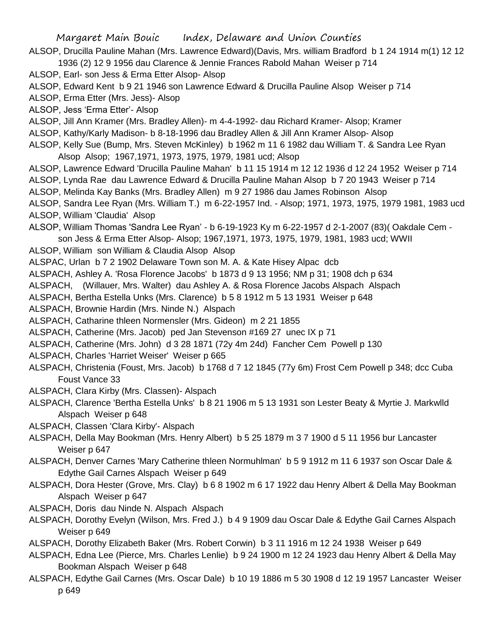Margaret Main Bouic Index, Delaware and Union Counties ALSOP, Drucilla Pauline Mahan (Mrs. Lawrence Edward)(Davis, Mrs. william Bradford b 1 24 1914 m(1) 12 12 1936 (2) 12 9 1956 dau Clarence & Jennie Frances Rabold Mahan Weiser p 714 ALSOP, Earl- son Jess & Erma Etter Alsop- Alsop ALSOP, Edward Kent b 9 21 1946 son Lawrence Edward & Drucilla Pauline Alsop Weiser p 714 ALSOP, Erma Etter (Mrs. Jess)- Alsop ALSOP, Jess 'Erma Etter'- Alsop ALSOP, Jill Ann Kramer (Mrs. Bradley Allen)- m 4-4-1992- dau Richard Kramer- Alsop; Kramer ALSOP, Kathy/Karly Madison- b 8-18-1996 dau Bradley Allen & Jill Ann Kramer Alsop- Alsop ALSOP, Kelly Sue (Bump, Mrs. Steven McKinley) b 1962 m 11 6 1982 dau William T. & Sandra Lee Ryan Alsop Alsop; 1967,1971, 1973, 1975, 1979, 1981 ucd; Alsop ALSOP, Lawrence Edward 'Drucilla Pauline Mahan' b 11 15 1914 m 12 12 1936 d 12 24 1952 Weiser p 714 ALSOP, Lynda Rae dau Lawrence Edward & Drucilla Pauline Mahan Alsop b 7 20 1943 Weiser p 714 ALSOP, Melinda Kay Banks (Mrs. Bradley Allen) m 9 27 1986 dau James Robinson Alsop ALSOP, Sandra Lee Ryan (Mrs. William T.) m 6-22-1957 Ind. - Alsop; 1971, 1973, 1975, 1979 1981, 1983 ucd ALSOP, William 'Claudia' Alsop ALSOP, William Thomas 'Sandra Lee Ryan' - b 6-19-1923 Ky m 6-22-1957 d 2-1-2007 (83)( Oakdale Cem son Jess & Erma Etter Alsop- Alsop; 1967,1971, 1973, 1975, 1979, 1981, 1983 ucd; WWII ALSOP, William son William & Claudia Alsop Alsop ALSPAC, Urlan b 7 2 1902 Delaware Town son M. A. & Kate Hisey Alpac dcb ALSPACH, Ashley A. 'Rosa Florence Jacobs' b 1873 d 9 13 1956; NM p 31; 1908 dch p 634 ALSPACH, (Willauer, Mrs. Walter) dau Ashley A. & Rosa Florence Jacobs Alspach Alspach ALSPACH, Bertha Estella Unks (Mrs. Clarence) b 5 8 1912 m 5 13 1931 Weiser p 648 ALSPACH, Brownie Hardin (Mrs. Ninde N.) Alspach ALSPACH, Catharine thleen Normensler (Mrs. Gideon) m 2 21 1855 ALSPACH, Catherine (Mrs. Jacob) ped Jan Stevenson #169 27 unec IX p 71 ALSPACH, Catherine (Mrs. John) d 3 28 1871 (72y 4m 24d) Fancher Cem Powell p 130 ALSPACH, Charles 'Harriet Weiser' Weiser p 665 ALSPACH, Christenia (Foust, Mrs. Jacob) b 1768 d 7 12 1845 (77y 6m) Frost Cem Powell p 348; dcc Cuba Foust Vance 33 ALSPACH, Clara Kirby (Mrs. Classen)- Alspach ALSPACH, Clarence 'Bertha Estella Unks' b 8 21 1906 m 5 13 1931 son Lester Beaty & Myrtie J. Markwlld Alspach Weiser p 648 ALSPACH, Classen 'Clara Kirby'- Alspach ALSPACH, Della May Bookman (Mrs. Henry Albert) b 5 25 1879 m 3 7 1900 d 5 11 1956 bur Lancaster Weiser p 647 ALSPACH, Denver Carnes 'Mary Catherine thleen Normuhlman' b 5 9 1912 m 11 6 1937 son Oscar Dale & Edythe Gail Carnes Alspach Weiser p 649 ALSPACH, Dora Hester (Grove, Mrs. Clay) b 6 8 1902 m 6 17 1922 dau Henry Albert & Della May Bookman Alspach Weiser p 647 ALSPACH, Doris dau Ninde N. Alspach Alspach ALSPACH, Dorothy Evelyn (Wilson, Mrs. Fred J.) b 4 9 1909 dau Oscar Dale & Edythe Gail Carnes Alspach Weiser p 649 ALSPACH, Dorothy Elizabeth Baker (Mrs. Robert Corwin) b 3 11 1916 m 12 24 1938 Weiser p 649

ALSPACH, Edna Lee (Pierce, Mrs. Charles Lenlie) b 9 24 1900 m 12 24 1923 dau Henry Albert & Della May Bookman Alspach Weiser p 648 ALSPACH, Edythe Gail Carnes (Mrs. Oscar Dale) b 10 19 1886 m 5 30 1908 d 12 19 1957 Lancaster Weiser

p 649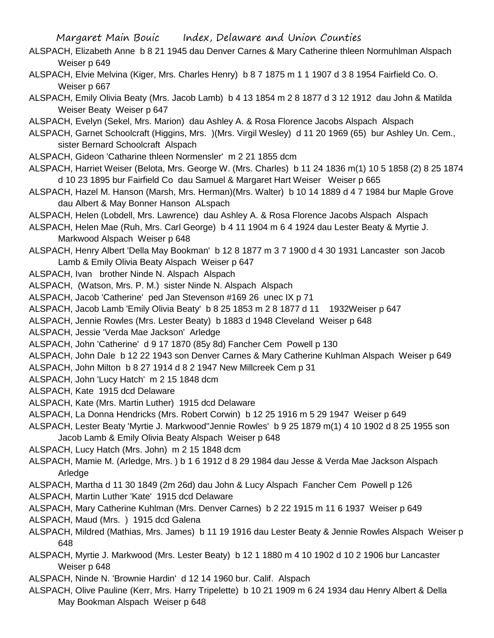- ALSPACH, Elizabeth Anne b 8 21 1945 dau Denver Carnes & Mary Catherine thleen Normuhlman Alspach Weiser p 649
- ALSPACH, Elvie Melvina (Kiger, Mrs. Charles Henry) b 8 7 1875 m 1 1 1907 d 3 8 1954 Fairfield Co. O. Weiser p 667
- ALSPACH, Emily Olivia Beaty (Mrs. Jacob Lamb) b 4 13 1854 m 2 8 1877 d 3 12 1912 dau John & Matilda Weiser Beaty Weiser p 647
- ALSPACH, Evelyn (Sekel, Mrs. Marion) dau Ashley A. & Rosa Florence Jacobs Alspach Alspach
- ALSPACH, Garnet Schoolcraft (Higgins, Mrs. )(Mrs. Virgil Wesley) d 11 20 1969 (65) bur Ashley Un. Cem., sister Bernard Schoolcraft Alspach
- ALSPACH, Gideon 'Catharine thleen Normensler' m 2 21 1855 dcm
- ALSPACH, Harriet Weiser (Belota, Mrs. George W. (Mrs. Charles) b 11 24 1836 m(1) 10 5 1858 (2) 8 25 1874 d 10 23 1895 bur Fairfield Co dau Samuel & Margaret Hart Weiser Weiser p 665
- ALSPACH, Hazel M. Hanson (Marsh, Mrs. Herman)(Mrs. Walter) b 10 14 1889 d 4 7 1984 bur Maple Grove dau Albert & May Bonner Hanson ALspach
- ALSPACH, Helen (Lobdell, Mrs. Lawrence) dau Ashley A. & Rosa Florence Jacobs Alspach Alspach
- ALSPACH, Helen Mae (Ruh, Mrs. Carl George) b 4 11 1904 m 6 4 1924 dau Lester Beaty & Myrtie J. Markwood Alspach Weiser p 648
- ALSPACH, Henry Albert 'Della May Bookman' b 12 8 1877 m 3 7 1900 d 4 30 1931 Lancaster son Jacob Lamb & Emily Olivia Beaty Alspach Weiser p 647
- ALSPACH, Ivan brother Ninde N. Alspach Alspach
- ALSPACH, (Watson, Mrs. P. M.) sister Ninde N. Alspach Alspach
- ALSPACH, Jacob 'Catherine' ped Jan Stevenson #169 26 unec IX p 71
- ALSPACH, Jacob Lamb 'Emily Olivia Beaty' b 8 25 1853 m 2 8 1877 d 11 1932Weiser p 647
- ALSPACH, Jennie Rowles (Mrs. Lester Beaty) b 1883 d 1948 Cleveland Weiser p 648
- ALSPACH, Jessie 'Verda Mae Jackson' Arledge
- ALSPACH, John 'Catherine' d 9 17 1870 (85y 8d) Fancher Cem Powell p 130
- ALSPACH, John Dale b 12 22 1943 son Denver Carnes & Mary Catherine Kuhlman Alspach Weiser p 649
- ALSPACH, John Milton b 8 27 1914 d 8 2 1947 New Millcreek Cem p 31
- ALSPACH, John 'Lucy Hatch' m 2 15 1848 dcm
- ALSPACH, Kate 1915 dcd Delaware
- ALSPACH, Kate (Mrs. Martin Luther) 1915 dcd Delaware
- ALSPACH, La Donna Hendricks (Mrs. Robert Corwin) b 12 25 1916 m 5 29 1947 Weiser p 649
- ALSPACH, Lester Beaty 'Myrtie J. Markwood''Jennie Rowles' b 9 25 1879 m(1) 4 10 1902 d 8 25 1955 son Jacob Lamb & Emily Olivia Beaty Alspach Weiser p 648
- ALSPACH, Lucy Hatch (Mrs. John) m 2 15 1848 dcm
- ALSPACH, Mamie M. (Arledge, Mrs. ) b 1 6 1912 d 8 29 1984 dau Jesse & Verda Mae Jackson Alspach Arledge
- ALSPACH, Martha d 11 30 1849 (2m 26d) dau John & Lucy Alspach Fancher Cem Powell p 126
- ALSPACH, Martin Luther 'Kate' 1915 dcd Delaware
- ALSPACH, Mary Catherine Kuhlman (Mrs. Denver Carnes) b 2 22 1915 m 11 6 1937 Weiser p 649
- ALSPACH, Maud (Mrs. ) 1915 dcd Galena
- ALSPACH, Mildred (Mathias, Mrs. James) b 11 19 1916 dau Lester Beaty & Jennie Rowles Alspach Weiser p 648
- ALSPACH, Myrtie J. Markwood (Mrs. Lester Beaty) b 12 1 1880 m 4 10 1902 d 10 2 1906 bur Lancaster Weiser p 648
- ALSPACH, Ninde N. 'Brownie Hardin' d 12 14 1960 bur. Calif. Alspach
- ALSPACH, Olive Pauline (Kerr, Mrs. Harry Tripelette) b 10 21 1909 m 6 24 1934 dau Henry Albert & Della May Bookman Alspach Weiser p 648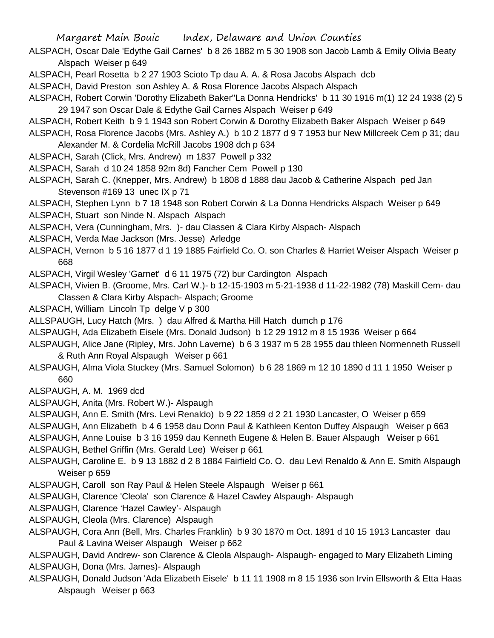- ALSPACH, Oscar Dale 'Edythe Gail Carnes' b 8 26 1882 m 5 30 1908 son Jacob Lamb & Emily Olivia Beaty Alspach Weiser p 649
- ALSPACH, Pearl Rosetta b 2 27 1903 Scioto Tp dau A. A. & Rosa Jacobs Alspach dcb
- ALSPACH, David Preston son Ashley A. & Rosa Florence Jacobs Alspach Alspach
- ALSPACH, Robert Corwin 'Dorothy Elizabeth Baker''La Donna Hendricks' b 11 30 1916 m(1) 12 24 1938 (2) 5 29 1947 son Oscar Dale & Edythe Gail Carnes Alspach Weiser p 649
- ALSPACH, Robert Keith b 9 1 1943 son Robert Corwin & Dorothy Elizabeth Baker Alspach Weiser p 649
- ALSPACH, Rosa Florence Jacobs (Mrs. Ashley A.) b 10 2 1877 d 9 7 1953 bur New Millcreek Cem p 31; dau Alexander M. & Cordelia McRill Jacobs 1908 dch p 634
- ALSPACH, Sarah (Click, Mrs. Andrew) m 1837 Powell p 332
- ALSPACH, Sarah d 10 24 1858 92m 8d) Fancher Cem Powell p 130
- ALSPACH, Sarah C. (Knepper, Mrs. Andrew) b 1808 d 1888 dau Jacob & Catherine Alspach ped Jan Stevenson #169 13 unec IX p 71
- ALSPACH, Stephen Lynn b 7 18 1948 son Robert Corwin & La Donna Hendricks Alspach Weiser p 649
- ALSPACH, Stuart son Ninde N. Alspach Alspach
- ALSPACH, Vera (Cunningham, Mrs. )- dau Classen & Clara Kirby Alspach- Alspach
- ALSPACH, Verda Mae Jackson (Mrs. Jesse) Arledge
- ALSPACH, Vernon b 5 16 1877 d 1 19 1885 Fairfield Co. O. son Charles & Harriet Weiser Alspach Weiser p 668
- ALSPACH, Virgil Wesley 'Garnet' d 6 11 1975 (72) bur Cardington Alspach
- ALSPACH, Vivien B. (Groome, Mrs. Carl W.)- b 12-15-1903 m 5-21-1938 d 11-22-1982 (78) Maskill Cem- dau Classen & Clara Kirby Alspach- Alspach; Groome
- ALSPACH, William Lincoln Tp delge V p 300
- ALLSPAUGH, Lucy Hatch (Mrs. ) dau Alfred & Martha Hill Hatch dumch p 176
- ALSPAUGH, Ada Elizabeth Eisele (Mrs. Donald Judson) b 12 29 1912 m 8 15 1936 Weiser p 664
- ALSPAUGH, Alice Jane (Ripley, Mrs. John Laverne) b 6 3 1937 m 5 28 1955 dau thleen Normenneth Russell & Ruth Ann Royal Alspaugh Weiser p 661
- ALSPAUGH, Alma Viola Stuckey (Mrs. Samuel Solomon) b 6 28 1869 m 12 10 1890 d 11 1 1950 Weiser p 660
- ALSPAUGH, A. M. 1969 dcd
- ALSPAUGH, Anita (Mrs. Robert W.)- Alspaugh
- ALSPAUGH, Ann E. Smith (Mrs. Levi Renaldo) b 9 22 1859 d 2 21 1930 Lancaster, O Weiser p 659
- ALSPAUGH, Ann Elizabeth b 4 6 1958 dau Donn Paul & Kathleen Kenton Duffey Alspaugh Weiser p 663
- ALSPAUGH, Anne Louise b 3 16 1959 dau Kenneth Eugene & Helen B. Bauer Alspaugh Weiser p 661 ALSPAUGH, Bethel Griffin (Mrs. Gerald Lee) Weiser p 661
- ALSPAUGH, Caroline E. b 9 13 1882 d 2 8 1884 Fairfield Co. O. dau Levi Renaldo & Ann E. Smith Alspaugh Weiser p 659
- ALSPAUGH, Caroll son Ray Paul & Helen Steele Alspaugh Weiser p 661
- ALSPAUGH, Clarence 'Cleola' son Clarence & Hazel Cawley Alspaugh- Alspaugh
- ALSPAUGH, Clarence 'Hazel Cawley'- Alspaugh
- ALSPAUGH, Cleola (Mrs. Clarence) Alspaugh
- ALSPAUGH, Cora Ann (Bell, Mrs. Charles Franklin) b 9 30 1870 m Oct. 1891 d 10 15 1913 Lancaster dau Paul & Lavina Weiser Alspaugh Weiser p 662
- ALSPAUGH, David Andrew- son Clarence & Cleola Alspaugh- Alspaugh- engaged to Mary Elizabeth Liming ALSPAUGH, Dona (Mrs. James)- Alspaugh
- ALSPAUGH, Donald Judson 'Ada Elizabeth Eisele' b 11 11 1908 m 8 15 1936 son Irvin Ellsworth & Etta Haas Alspaugh Weiser p 663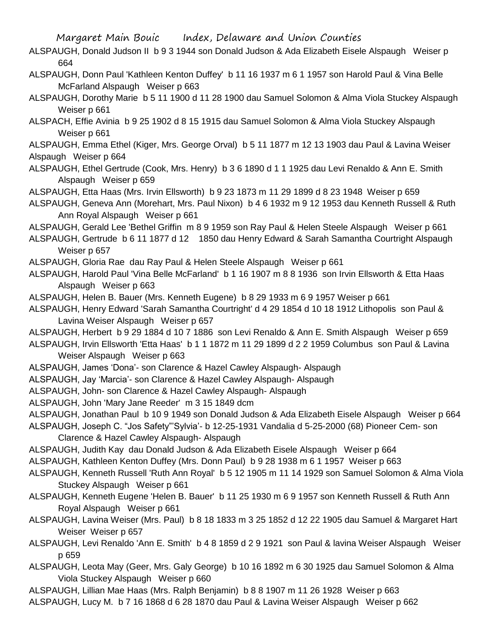- ALSPAUGH, Donald Judson II b 9 3 1944 son Donald Judson & Ada Elizabeth Eisele Alspaugh Weiser p 664
- ALSPAUGH, Donn Paul 'Kathleen Kenton Duffey' b 11 16 1937 m 6 1 1957 son Harold Paul & Vina Belle McFarland Alspaugh Weiser p 663
- ALSPAUGH, Dorothy Marie b 5 11 1900 d 11 28 1900 dau Samuel Solomon & Alma Viola Stuckey Alspaugh Weiser p 661
- ALSPACH, Effie Avinia b 9 25 1902 d 8 15 1915 dau Samuel Solomon & Alma Viola Stuckey Alspaugh Weiser p 661
- ALSPAUGH, Emma Ethel (Kiger, Mrs. George Orval) b 5 11 1877 m 12 13 1903 dau Paul & Lavina Weiser Alspaugh Weiser p 664
- ALSPAUGH, Ethel Gertrude (Cook, Mrs. Henry) b 3 6 1890 d 1 1 1925 dau Levi Renaldo & Ann E. Smith Alspaugh Weiser p 659
- ALSPAUGH, Etta Haas (Mrs. Irvin Ellsworth) b 9 23 1873 m 11 29 1899 d 8 23 1948 Weiser p 659
- ALSPAUGH, Geneva Ann (Morehart, Mrs. Paul Nixon) b 4 6 1932 m 9 12 1953 dau Kenneth Russell & Ruth Ann Royal Alspaugh Weiser p 661
- ALSPAUGH, Gerald Lee 'Bethel Griffin m 8 9 1959 son Ray Paul & Helen Steele Alspaugh Weiser p 661
- ALSPAUGH, Gertrude b 6 11 1877 d 12 1850 dau Henry Edward & Sarah Samantha Courtright Alspaugh Weiser p 657
- ALSPAUGH, Gloria Rae dau Ray Paul & Helen Steele Alspaugh Weiser p 661
- ALSPAUGH, Harold Paul 'Vina Belle McFarland' b 1 16 1907 m 8 8 1936 son Irvin Ellsworth & Etta Haas Alspaugh Weiser p 663
- ALSPAUGH, Helen B. Bauer (Mrs. Kenneth Eugene) b 8 29 1933 m 6 9 1957 Weiser p 661
- ALSPAUGH, Henry Edward 'Sarah Samantha Courtright' d 4 29 1854 d 10 18 1912 Lithopolis son Paul & Lavina Weiser Alspaugh Weiser p 657
- ALSPAUGH, Herbert b 9 29 1884 d 10 7 1886 son Levi Renaldo & Ann E. Smith Alspaugh Weiser p 659
- ALSPAUGH, Irvin Ellsworth 'Etta Haas' b 1 1 1872 m 11 29 1899 d 2 2 1959 Columbus son Paul & Lavina Weiser Alspaugh Weiser p 663
- ALSPAUGH, James 'Dona'- son Clarence & Hazel Cawley Alspaugh- Alspaugh
- ALSPAUGH, Jay 'Marcia'- son Clarence & Hazel Cawley Alspaugh- Alspaugh
- ALSPAUGH, John- son Clarence & Hazel Cawley Alspaugh- Alspaugh
- ALSPAUGH, John 'Mary Jane Reeder' m 3 15 1849 dcm
- ALSPAUGH, Jonathan Paul b 10 9 1949 son Donald Judson & Ada Elizabeth Eisele Alspaugh Weiser p 664
- ALSPAUGH, Joseph C. "Jos Safety"'Sylvia'- b 12-25-1931 Vandalia d 5-25-2000 (68) Pioneer Cem- son Clarence & Hazel Cawley Alspaugh- Alspaugh
- ALSPAUGH, Judith Kay dau Donald Judson & Ada Elizabeth Eisele Alspaugh Weiser p 664
- ALSPAUGH, Kathleen Kenton Duffey (Mrs. Donn Paul) b 9 28 1938 m 6 1 1957 Weiser p 663
- ALSPAUGH, Kenneth Russell 'Ruth Ann Royal' b 5 12 1905 m 11 14 1929 son Samuel Solomon & Alma Viola Stuckey Alspaugh Weiser p 661
- ALSPAUGH, Kenneth Eugene 'Helen B. Bauer' b 11 25 1930 m 6 9 1957 son Kenneth Russell & Ruth Ann Royal Alspaugh Weiser p 661
- ALSPAUGH, Lavina Weiser (Mrs. Paul) b 8 18 1833 m 3 25 1852 d 12 22 1905 dau Samuel & Margaret Hart Weiser Weiser p 657
- ALSPAUGH, Levi Renaldo 'Ann E. Smith' b 4 8 1859 d 2 9 1921 son Paul & lavina Weiser Alspaugh Weiser p 659
- ALSPAUGH, Leota May (Geer, Mrs. Galy George) b 10 16 1892 m 6 30 1925 dau Samuel Solomon & Alma Viola Stuckey Alspaugh Weiser p 660
- ALSPAUGH, Lillian Mae Haas (Mrs. Ralph Benjamin) b 8 8 1907 m 11 26 1928 Weiser p 663
- ALSPAUGH, Lucy M. b 7 16 1868 d 6 28 1870 dau Paul & Lavina Weiser Alspaugh Weiser p 662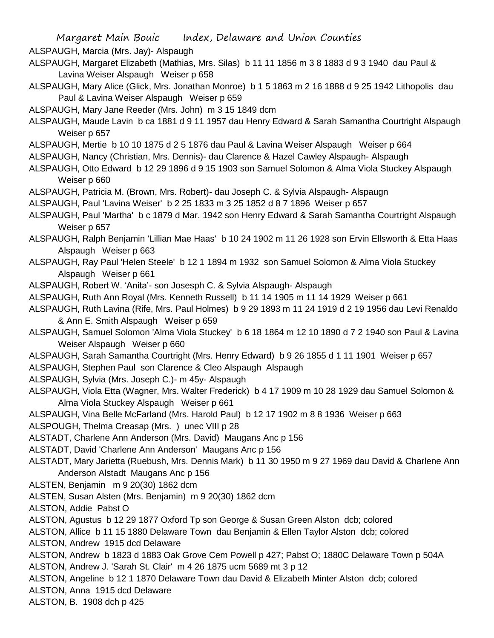ALSPAUGH, Marcia (Mrs. Jay)- Alspaugh

- ALSPAUGH, Margaret Elizabeth (Mathias, Mrs. Silas) b 11 11 1856 m 3 8 1883 d 9 3 1940 dau Paul & Lavina Weiser Alspaugh Weiser p 658
- ALSPAUGH, Mary Alice (Glick, Mrs. Jonathan Monroe) b 1 5 1863 m 2 16 1888 d 9 25 1942 Lithopolis dau Paul & Lavina Weiser Alspaugh Weiser p 659
- ALSPAUGH, Mary Jane Reeder (Mrs. John) m 3 15 1849 dcm
- ALSPAUGH, Maude Lavin b ca 1881 d 9 11 1957 dau Henry Edward & Sarah Samantha Courtright Alspaugh Weiser p 657
- ALSPAUGH, Mertie b 10 10 1875 d 2 5 1876 dau Paul & Lavina Weiser Alspaugh Weiser p 664
- ALSPAUGH, Nancy (Christian, Mrs. Dennis)- dau Clarence & Hazel Cawley Alspaugh- Alspaugh
- ALSPAUGH, Otto Edward b 12 29 1896 d 9 15 1903 son Samuel Solomon & Alma Viola Stuckey Alspaugh Weiser p 660
- ALSPAUGH, Patricia M. (Brown, Mrs. Robert)- dau Joseph C. & Sylvia Alspaugh- Alspaugn
- ALSPAUGH, Paul 'Lavina Weiser' b 2 25 1833 m 3 25 1852 d 8 7 1896 Weiser p 657
- ALSPAUGH, Paul 'Martha' b c 1879 d Mar. 1942 son Henry Edward & Sarah Samantha Courtright Alspaugh Weiser p 657
- ALSPAUGH, Ralph Benjamin 'Lillian Mae Haas' b 10 24 1902 m 11 26 1928 son Ervin Ellsworth & Etta Haas Alspaugh Weiser p 663
- ALSPAUGH, Ray Paul 'Helen Steele' b 12 1 1894 m 1932 son Samuel Solomon & Alma Viola Stuckey Alspaugh Weiser p 661
- ALSPAUGH, Robert W. 'Anita'- son Josesph C. & Sylvia Alspaugh- Alspaugh
- ALSPAUGH, Ruth Ann Royal (Mrs. Kenneth Russell) b 11 14 1905 m 11 14 1929 Weiser p 661
- ALSPAUGH, Ruth Lavina (Rife, Mrs. Paul Holmes) b 9 29 1893 m 11 24 1919 d 2 19 1956 dau Levi Renaldo & Ann E. Smith Alspaugh Weiser p 659
- ALSPAUGH, Samuel Solomon 'Alma Viola Stuckey' b 6 18 1864 m 12 10 1890 d 7 2 1940 son Paul & Lavina Weiser Alspaugh Weiser p 660
- ALSPAUGH, Sarah Samantha Courtright (Mrs. Henry Edward) b 9 26 1855 d 1 11 1901 Weiser p 657
- ALSPAUGH, Stephen Paul son Clarence & Cleo Alspaugh Alspaugh
- ALSPAUGH, Sylvia (Mrs. Joseph C.)- m 45y- Alspaugh
- ALSPAUGH, Viola Etta (Wagner, Mrs. Walter Frederick) b 4 17 1909 m 10 28 1929 dau Samuel Solomon & Alma Viola Stuckey Alspaugh Weiser p 661
- ALSPAUGH, Vina Belle McFarland (Mrs. Harold Paul) b 12 17 1902 m 8 8 1936 Weiser p 663
- ALSPOUGH, Thelma Creasap (Mrs. ) unec VIII p 28
- ALSTADT, Charlene Ann Anderson (Mrs. David) Maugans Anc p 156
- ALSTADT, David 'Charlene Ann Anderson' Maugans Anc p 156
- ALSTADT, Mary Jarietta (Ruebush, Mrs. Dennis Mark) b 11 30 1950 m 9 27 1969 dau David & Charlene Ann Anderson Alstadt Maugans Anc p 156
- ALSTEN, Benjamin m 9 20(30) 1862 dcm
- ALSTEN, Susan Alsten (Mrs. Benjamin) m 9 20(30) 1862 dcm
- ALSTON, Addie Pabst O
- ALSTON, Agustus b 12 29 1877 Oxford Tp son George & Susan Green Alston dcb; colored
- ALSTON, Allice b 11 15 1880 Delaware Town dau Benjamin & Ellen Taylor Alston dcb; colored
- ALSTON, Andrew 1915 dcd Delaware
- ALSTON, Andrew b 1823 d 1883 Oak Grove Cem Powell p 427; Pabst O; 1880C Delaware Town p 504A ALSTON, Andrew J. 'Sarah St. Clair' m 4 26 1875 ucm 5689 mt 3 p 12
- ALSTON, Angeline b 12 1 1870 Delaware Town dau David & Elizabeth Minter Alston dcb; colored
- ALSTON, Anna 1915 dcd Delaware
- ALSTON, B. 1908 dch p 425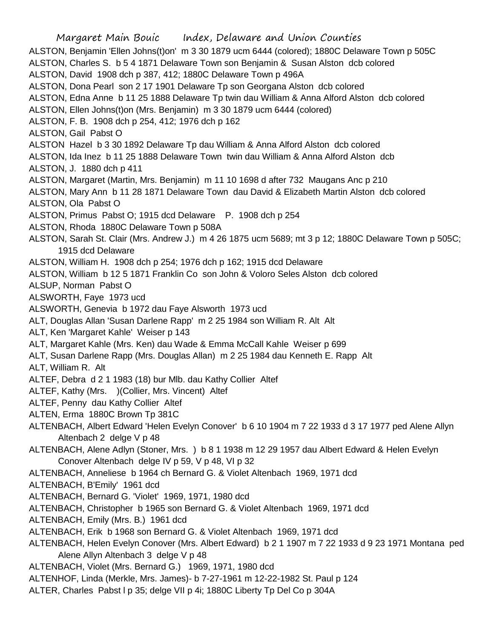Margaret Main Bouic Index, Delaware and Union Counties ALSTON, Benjamin 'Ellen Johns(t)on' m 3 30 1879 ucm 6444 (colored); 1880C Delaware Town p 505C ALSTON, Charles S. b 5 4 1871 Delaware Town son Benjamin & Susan Alston dcb colored ALSTON, David 1908 dch p 387, 412; 1880C Delaware Town p 496A ALSTON, Dona Pearl son 2 17 1901 Delaware Tp son Georgana Alston dcb colored ALSTON, Edna Anne b 11 25 1888 Delaware Tp twin dau William & Anna Alford Alston dcb colored ALSTON, Ellen Johns(t)on (Mrs. Benjamin) m 3 30 1879 ucm 6444 (colored) ALSTON, F. B. 1908 dch p 254, 412; 1976 dch p 162 ALSTON, Gail Pabst O ALSTON Hazel b 3 30 1892 Delaware Tp dau William & Anna Alford Alston dcb colored ALSTON, Ida Inez b 11 25 1888 Delaware Town twin dau William & Anna Alford Alston dcb ALSTON, J. 1880 dch p 411 ALSTON, Margaret (Martin, Mrs. Benjamin) m 11 10 1698 d after 732 Maugans Anc p 210 ALSTON, Mary Ann b 11 28 1871 Delaware Town dau David & Elizabeth Martin Alston dcb colored ALSTON, Ola Pabst O ALSTON, Primus Pabst O; 1915 dcd Delaware P. 1908 dch p 254 ALSTON, Rhoda 1880C Delaware Town p 508A ALSTON, Sarah St. Clair (Mrs. Andrew J.) m 4 26 1875 ucm 5689; mt 3 p 12; 1880C Delaware Town p 505C; 1915 dcd Delaware ALSTON, William H. 1908 dch p 254; 1976 dch p 162; 1915 dcd Delaware ALSTON, William b 12 5 1871 Franklin Co son John & Voloro Seles Alston dcb colored ALSUP, Norman Pabst O ALSWORTH, Faye 1973 ucd ALSWORTH, Genevia b 1972 dau Faye Alsworth 1973 ucd ALT, Douglas Allan 'Susan Darlene Rapp' m 2 25 1984 son William R. Alt Alt ALT, Ken 'Margaret Kahle' Weiser p 143 ALT, Margaret Kahle (Mrs. Ken) dau Wade & Emma McCall Kahle Weiser p 699 ALT, Susan Darlene Rapp (Mrs. Douglas Allan) m 2 25 1984 dau Kenneth E. Rapp Alt ALT, William R. Alt ALTEF, Debra d 2 1 1983 (18) bur Mlb. dau Kathy Collier Altef ALTEF, Kathy (Mrs. )(Collier, Mrs. Vincent) Altef ALTEF, Penny dau Kathy Collier Altef ALTEN, Erma 1880C Brown Tp 381C ALTENBACH, Albert Edward 'Helen Evelyn Conover' b 6 10 1904 m 7 22 1933 d 3 17 1977 ped Alene Allyn Altenbach 2 delge V p 48 ALTENBACH, Alene Adlyn (Stoner, Mrs. ) b 8 1 1938 m 12 29 1957 dau Albert Edward & Helen Evelyn Conover Altenbach delge IV p 59, V p 48, VI p 32 ALTENBACH, Anneliese b 1964 ch Bernard G. & Violet Altenbach 1969, 1971 dcd ALTENBACH, B'Emily' 1961 dcd ALTENBACH, Bernard G. 'Violet' 1969, 1971, 1980 dcd ALTENBACH, Christopher b 1965 son Bernard G. & Violet Altenbach 1969, 1971 dcd ALTENBACH, Emily (Mrs. B.) 1961 dcd ALTENBACH, Erik b 1968 son Bernard G. & Violet Altenbach 1969, 1971 dcd ALTENBACH, Helen Evelyn Conover (Mrs. Albert Edward) b 2 1 1907 m 7 22 1933 d 9 23 1971 Montana ped Alene Allyn Altenbach 3 delge V p 48 ALTENBACH, Violet (Mrs. Bernard G.) 1969, 1971, 1980 dcd ALTENHOF, Linda (Merkle, Mrs. James)- b 7-27-1961 m 12-22-1982 St. Paul p 124

ALTER, Charles Pabst l p 35; delge VII p 4i; 1880C Liberty Tp Del Co p 304A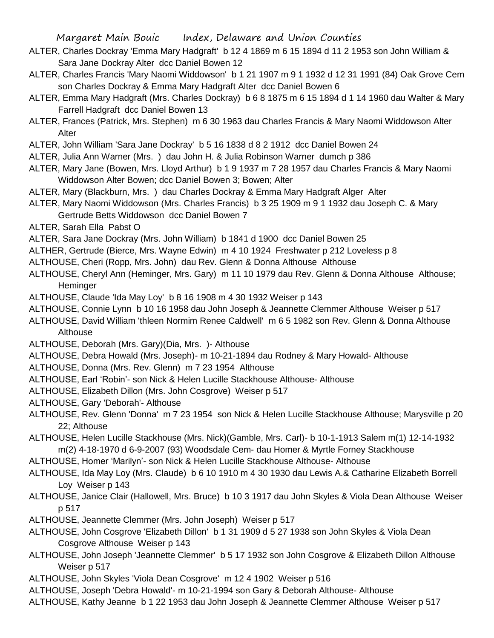- ALTER, Charles Dockray 'Emma Mary Hadgraft' b 12 4 1869 m 6 15 1894 d 11 2 1953 son John William & Sara Jane Dockray Alter dcc Daniel Bowen 12
- ALTER, Charles Francis 'Mary Naomi Widdowson' b 1 21 1907 m 9 1 1932 d 12 31 1991 (84) Oak Grove Cem son Charles Dockray & Emma Mary Hadgraft Alter dcc Daniel Bowen 6
- ALTER, Emma Mary Hadgraft (Mrs. Charles Dockray) b 6 8 1875 m 6 15 1894 d 1 14 1960 dau Walter & Mary Farrell Hadgraft dcc Daniel Bowen 13
- ALTER, Frances (Patrick, Mrs. Stephen) m 6 30 1963 dau Charles Francis & Mary Naomi Widdowson Alter Alter
- ALTER, John William 'Sara Jane Dockray' b 5 16 1838 d 8 2 1912 dcc Daniel Bowen 24
- ALTER, Julia Ann Warner (Mrs. ) dau John H. & Julia Robinson Warner dumch p 386
- ALTER, Mary Jane (Bowen, Mrs. Lloyd Arthur) b 1 9 1937 m 7 28 1957 dau Charles Francis & Mary Naomi Widdowson Alter Bowen; dcc Daniel Bowen 3; Bowen; Alter
- ALTER, Mary (Blackburn, Mrs. ) dau Charles Dockray & Emma Mary Hadgraft Alger Alter
- ALTER, Mary Naomi Widdowson (Mrs. Charles Francis) b 3 25 1909 m 9 1 1932 dau Joseph C. & Mary Gertrude Betts Widdowson dcc Daniel Bowen 7
- ALTER, Sarah Ella Pabst O
- ALTER, Sara Jane Dockray (Mrs. John William) b 1841 d 1900 dcc Daniel Bowen 25
- ALTHER, Gertrude (Bierce, Mrs. Wayne Edwin) m 4 10 1924 Freshwater p 212 Loveless p 8
- ALTHOUSE, Cheri (Ropp, Mrs. John) dau Rev. Glenn & Donna Althouse Althouse
- ALTHOUSE, Cheryl Ann (Heminger, Mrs. Gary) m 11 10 1979 dau Rev. Glenn & Donna Althouse Althouse; **Heminger**
- ALTHOUSE, Claude 'Ida May Loy' b 8 16 1908 m 4 30 1932 Weiser p 143
- ALTHOUSE, Connie Lynn b 10 16 1958 dau John Joseph & Jeannette Clemmer Althouse Weiser p 517
- ALTHOUSE, David William 'thleen Normim Renee Caldwell' m 6 5 1982 son Rev. Glenn & Donna Althouse **Althouse**
- ALTHOUSE, Deborah (Mrs. Gary)(Dia, Mrs. )- Althouse
- ALTHOUSE, Debra Howald (Mrs. Joseph)- m 10-21-1894 dau Rodney & Mary Howald- Althouse
- ALTHOUSE, Donna (Mrs. Rev. Glenn) m 7 23 1954 Althouse
- ALTHOUSE, Earl 'Robin'- son Nick & Helen Lucille Stackhouse Althouse- Althouse
- ALTHOUSE, Elizabeth Dillon (Mrs. John Cosgrove) Weiser p 517
- ALTHOUSE, Gary 'Deborah'- Althouse
- ALTHOUSE, Rev. Glenn 'Donna' m 7 23 1954 son Nick & Helen Lucille Stackhouse Althouse; Marysville p 20 22; Althouse
- ALTHOUSE, Helen Lucille Stackhouse (Mrs. Nick)(Gamble, Mrs. Carl)- b 10-1-1913 Salem m(1) 12-14-1932 m(2) 4-18-1970 d 6-9-2007 (93) Woodsdale Cem- dau Homer & Myrtle Forney Stackhouse
- ALTHOUSE, Homer 'Marilyn'- son Nick & Helen Lucille Stackhouse Althouse- Althouse
- ALTHOUSE, Ida May Loy (Mrs. Claude) b 6 10 1910 m 4 30 1930 dau Lewis A.& Catharine Elizabeth Borrell Loy Weiser p 143
- ALTHOUSE, Janice Clair (Hallowell, Mrs. Bruce) b 10 3 1917 dau John Skyles & Viola Dean Althouse Weiser p 517
- ALTHOUSE, Jeannette Clemmer (Mrs. John Joseph) Weiser p 517
- ALTHOUSE, John Cosgrove 'Elizabeth Dillon' b 1 31 1909 d 5 27 1938 son John Skyles & Viola Dean Cosgrove Althouse Weiser p 143
- ALTHOUSE, John Joseph 'Jeannette Clemmer' b 5 17 1932 son John Cosgrove & Elizabeth Dillon Althouse Weiser p 517
- ALTHOUSE, John Skyles 'Viola Dean Cosgrove' m 12 4 1902 Weiser p 516
- ALTHOUSE, Joseph 'Debra Howald'- m 10-21-1994 son Gary & Deborah Althouse- Althouse
- ALTHOUSE, Kathy Jeanne b 1 22 1953 dau John Joseph & Jeannette Clemmer Althouse Weiser p 517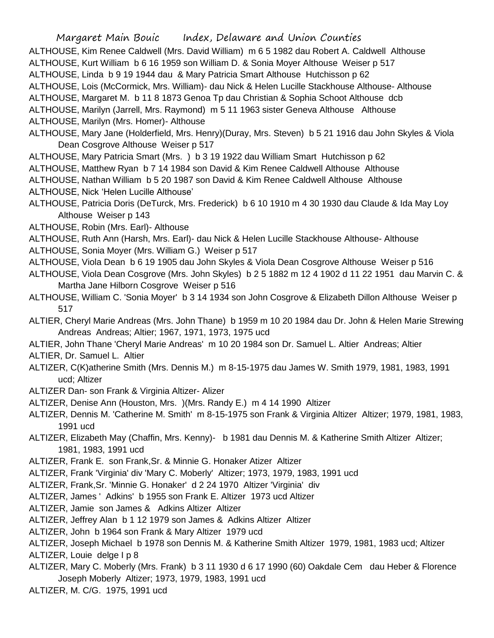ALTHOUSE, Kim Renee Caldwell (Mrs. David William) m 6 5 1982 dau Robert A. Caldwell Althouse

ALTHOUSE, Kurt William b 6 16 1959 son William D. & Sonia Moyer Althouse Weiser p 517

ALTHOUSE, Linda b 9 19 1944 dau & Mary Patricia Smart Althouse Hutchisson p 62

ALTHOUSE, Lois (McCormick, Mrs. William)- dau Nick & Helen Lucille Stackhouse Althouse- Althouse

ALTHOUSE, Margaret M. b 11 8 1873 Genoa Tp dau Christian & Sophia Schoot Althouse dcb

ALTHOUSE, Marilyn (Jarrell, Mrs. Raymond) m 5 11 1963 sister Geneva Althouse Althouse

ALTHOUSE, Marilyn (Mrs. Homer)- Althouse

- ALTHOUSE, Mary Jane (Holderfield, Mrs. Henry)(Duray, Mrs. Steven) b 5 21 1916 dau John Skyles & Viola Dean Cosgrove Althouse Weiser p 517
- ALTHOUSE, Mary Patricia Smart (Mrs. ) b 3 19 1922 dau William Smart Hutchisson p 62
- ALTHOUSE, Matthew Ryan b 7 14 1984 son David & Kim Renee Caldwell Althouse Althouse
- ALTHOUSE, Nathan William b 5 20 1987 son David & Kim Renee Caldwell Althouse Althouse

ALTHOUSE, Nick 'Helen Lucille Althouse'

- ALTHOUSE, Patricia Doris (DeTurck, Mrs. Frederick) b 6 10 1910 m 4 30 1930 dau Claude & Ida May Loy Althouse Weiser p 143
- ALTHOUSE, Robin (Mrs. Earl)- Althouse
- ALTHOUSE, Ruth Ann (Harsh, Mrs. Earl)- dau Nick & Helen Lucille Stackhouse Althouse- Althouse
- ALTHOUSE, Sonia Moyer (Mrs. William G.) Weiser p 517
- ALTHOUSE, Viola Dean b 6 19 1905 dau John Skyles & Viola Dean Cosgrove Althouse Weiser p 516
- ALTHOUSE, Viola Dean Cosgrove (Mrs. John Skyles) b 2 5 1882 m 12 4 1902 d 11 22 1951 dau Marvin C. & Martha Jane Hilborn Cosgrove Weiser p 516
- ALTHOUSE, William C. 'Sonia Moyer' b 3 14 1934 son John Cosgrove & Elizabeth Dillon Althouse Weiser p 517
- ALTIER, Cheryl Marie Andreas (Mrs. John Thane) b 1959 m 10 20 1984 dau Dr. John & Helen Marie Strewing Andreas Andreas; Altier; 1967, 1971, 1973, 1975 ucd
- ALTIER, John Thane 'Cheryl Marie Andreas' m 10 20 1984 son Dr. Samuel L. Altier Andreas; Altier

ALTIER, Dr. Samuel L. Altier

- ALTIZER, C(K)atherine Smith (Mrs. Dennis M.) m 8-15-1975 dau James W. Smith 1979, 1981, 1983, 1991 ucd; Altizer
- ALTIZER Dan- son Frank & Virginia Altizer- Alizer
- ALTIZER, Denise Ann (Houston, Mrs. )(Mrs. Randy E.) m 4 14 1990 Altizer
- ALTIZER, Dennis M. 'Catherine M. Smith' m 8-15-1975 son Frank & Virginia Altizer Altizer; 1979, 1981, 1983, 1991 ucd
- ALTIZER, Elizabeth May (Chaffin, Mrs. Kenny)- b 1981 dau Dennis M. & Katherine Smith Altizer Altizer; 1981, 1983, 1991 ucd

ALTIZER, Frank E. son Frank,Sr. & Minnie G. Honaker Atizer Altizer

- ALTIZER, Frank 'Virginia' div 'Mary C. Moberly' Altizer; 1973, 1979, 1983, 1991 ucd
- ALTIZER, Frank,Sr. 'Minnie G. Honaker' d 2 24 1970 Altizer 'Virginia' div
- ALTIZER, James ' Adkins' b 1955 son Frank E. Altizer 1973 ucd Altizer
- ALTIZER, Jamie son James & Adkins Altizer Altizer

ALTIZER, Jeffrey Alan b 1 12 1979 son James & Adkins Altizer Altizer

- ALTIZER, John b 1964 son Frank & Mary Altizer 1979 ucd
- ALTIZER, Joseph Michael b 1978 son Dennis M. & Katherine Smith Altizer 1979, 1981, 1983 ucd; Altizer ALTIZER, Louie delge I p 8
- ALTIZER, Mary C. Moberly (Mrs. Frank) b 3 11 1930 d 6 17 1990 (60) Oakdale Cem dau Heber & Florence Joseph Moberly Altizer; 1973, 1979, 1983, 1991 ucd

ALTIZER, M. C/G. 1975, 1991 ucd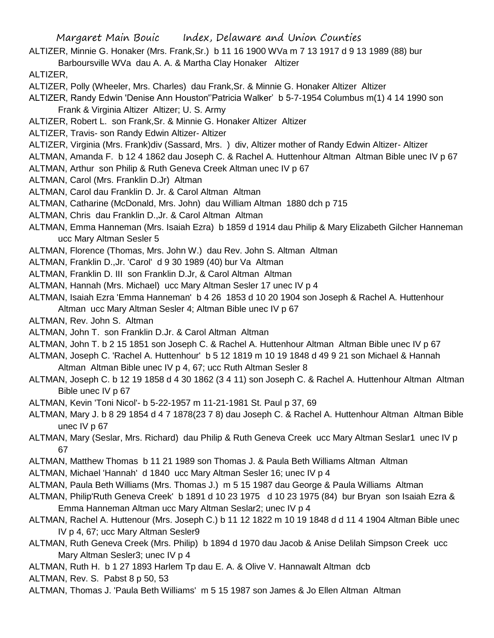- ALTIZER, Minnie G. Honaker (Mrs. Frank,Sr.) b 11 16 1900 WVa m 7 13 1917 d 9 13 1989 (88) bur
	- Barboursville WVa dau A. A. & Martha Clay Honaker Altizer

ALTIZER,

- ALTIZER, Polly (Wheeler, Mrs. Charles) dau Frank,Sr. & Minnie G. Honaker Altizer Altizer
- ALTIZER, Randy Edwin 'Denise Ann Houston''Patricia Walker' b 5-7-1954 Columbus m(1) 4 14 1990 son Frank & Virginia Altizer Altizer; U. S. Army
- ALTIZER, Robert L. son Frank,Sr. & Minnie G. Honaker Altizer Altizer
- ALTIZER, Travis- son Randy Edwin Altizer- Altizer
- ALTIZER, Virginia (Mrs. Frank)div (Sassard, Mrs. ) div, Altizer mother of Randy Edwin Altizer- Altizer
- ALTMAN, Amanda F. b 12 4 1862 dau Joseph C. & Rachel A. Huttenhour Altman Altman Bible unec IV p 67
- ALTMAN, Arthur son Philip & Ruth Geneva Creek Altman unec IV p 67
- ALTMAN, Carol (Mrs. Franklin D.Jr) Altman
- ALTMAN, Carol dau Franklin D. Jr. & Carol Altman Altman
- ALTMAN, Catharine (McDonald, Mrs. John) dau William Altman 1880 dch p 715
- ALTMAN, Chris dau Franklin D.,Jr. & Carol Altman Altman
- ALTMAN, Emma Hanneman (Mrs. Isaiah Ezra) b 1859 d 1914 dau Philip & Mary Elizabeth Gilcher Hanneman ucc Mary Altman Sesler 5
- ALTMAN, Florence (Thomas, Mrs. John W.) dau Rev. John S. Altman Altman
- ALTMAN, Franklin D.,Jr. 'Carol' d 9 30 1989 (40) bur Va Altman
- ALTMAN, Franklin D. III son Franklin D.Jr, & Carol Altman Altman
- ALTMAN, Hannah (Mrs. Michael) ucc Mary Altman Sesler 17 unec IV p 4
- ALTMAN, Isaiah Ezra 'Emma Hanneman' b 4 26 1853 d 10 20 1904 son Joseph & Rachel A. Huttenhour Altman ucc Mary Altman Sesler 4; Altman Bible unec IV p 67
- ALTMAN, Rev. John S. Altman
- ALTMAN, John T. son Franklin D.Jr. & Carol Altman Altman
- ALTMAN, John T. b 2 15 1851 son Joseph C. & Rachel A. Huttenhour Altman Altman Bible unec IV p 67
- ALTMAN, Joseph C. 'Rachel A. Huttenhour' b 5 12 1819 m 10 19 1848 d 49 9 21 son Michael & Hannah
- Altman Altman Bible unec IV p 4, 67; ucc Ruth Altman Sesler 8
- ALTMAN, Joseph C. b 12 19 1858 d 4 30 1862 (3 4 11) son Joseph C. & Rachel A. Huttenhour Altman Altman Bible unec IV p 67
- ALTMAN, Kevin 'Toni Nicol'- b 5-22-1957 m 11-21-1981 St. Paul p 37, 69
- ALTMAN, Mary J. b 8 29 1854 d 4 7 1878(23 7 8) dau Joseph C. & Rachel A. Huttenhour Altman Altman Bible unec IV p 67
- ALTMAN, Mary (Seslar, Mrs. Richard) dau Philip & Ruth Geneva Creek ucc Mary Altman Seslar1 unec IV p 67
- ALTMAN, Matthew Thomas b 11 21 1989 son Thomas J. & Paula Beth Williams Altman Altman
- ALTMAN, Michael 'Hannah' d 1840 ucc Mary Altman Sesler 16; unec IV p 4
- ALTMAN, Paula Beth Williams (Mrs. Thomas J.) m 5 15 1987 dau George & Paula Williams Altman
- ALTMAN, Philip'Ruth Geneva Creek' b 1891 d 10 23 1975 d 10 23 1975 (84) bur Bryan son Isaiah Ezra & Emma Hanneman Altman ucc Mary Altman Seslar2; unec IV p 4
- ALTMAN, Rachel A. Huttenour (Mrs. Joseph C.) b 11 12 1822 m 10 19 1848 d d 11 4 1904 Altman Bible unec IV p 4, 67; ucc Mary Altman Sesler9
- ALTMAN, Ruth Geneva Creek (Mrs. Philip) b 1894 d 1970 dau Jacob & Anise Delilah Simpson Creek ucc Mary Altman Sesler3; unec IV p 4
- ALTMAN, Ruth H. b 1 27 1893 Harlem Tp dau E. A. & Olive V. Hannawalt Altman dcb
- ALTMAN, Rev. S. Pabst 8 p 50, 53
- ALTMAN, Thomas J. 'Paula Beth Williams' m 5 15 1987 son James & Jo Ellen Altman Altman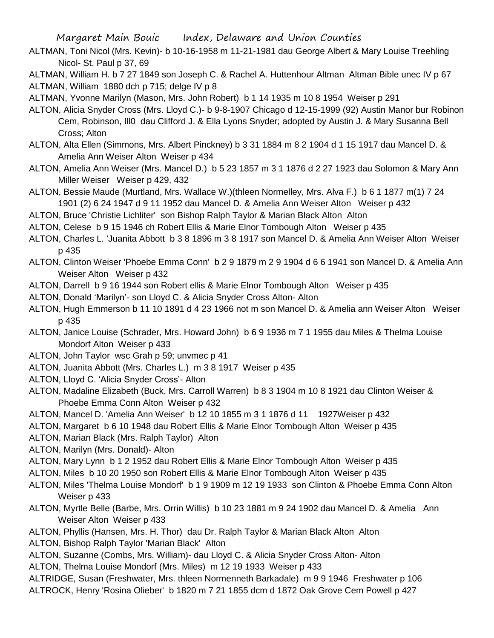- ALTMAN, Toni Nicol (Mrs. Kevin)- b 10-16-1958 m 11-21-1981 dau George Albert & Mary Louise Treehling Nicol- St. Paul p 37, 69
- ALTMAN, William H. b 7 27 1849 son Joseph C. & Rachel A. Huttenhour Altman Altman Bible unec IV p 67 ALTMAN, William 1880 dch p 715; delge IV p 8
- ALTMAN, Yvonne Marilyn (Mason, Mrs. John Robert) b 1 14 1935 m 10 8 1954 Weiser p 291
- ALTON, Alicia Snyder Cross (Mrs. Lloyd C.)- b 9-8-1907 Chicago d 12-15-1999 (92) Austin Manor bur Robinon Cem, Robinson, Ill0 dau Clifford J. & Ella Lyons Snyder; adopted by Austin J. & Mary Susanna Bell Cross; Alton
- ALTON, Alta Ellen (Simmons, Mrs. Albert Pinckney) b 3 31 1884 m 8 2 1904 d 1 15 1917 dau Mancel D. & Amelia Ann Weiser Alton Weiser p 434
- ALTON, Amelia Ann Weiser (Mrs. Mancel D.) b 5 23 1857 m 3 1 1876 d 2 27 1923 dau Solomon & Mary Ann Miller Weiser Weiser p 429, 432
- ALTON, Bessie Maude (Murtland, Mrs. Wallace W.)(thleen Normelley, Mrs. Alva F.) b 6 1 1877 m(1) 7 24 1901 (2) 6 24 1947 d 9 11 1952 dau Mancel D. & Amelia Ann Weiser Alton Weiser p 432
- ALTON, Bruce 'Christie Lichliter' son Bishop Ralph Taylor & Marian Black Alton Alton
- ALTON, Celese b 9 15 1946 ch Robert Ellis & Marie Elnor Tombough Alton Weiser p 435
- ALTON, Charles L. 'Juanita Abbott b 3 8 1896 m 3 8 1917 son Mancel D. & Amelia Ann Weiser Alton Weiser p 435
- ALTON, Clinton Weiser 'Phoebe Emma Conn' b 2 9 1879 m 2 9 1904 d 6 6 1941 son Mancel D. & Amelia Ann Weiser Alton Weiser p 432
- ALTON, Darrell b 9 16 1944 son Robert ellis & Marie Elnor Tombough Alton Weiser p 435
- ALTON, Donald 'Marilyn'- son Lloyd C. & Alicia Snyder Cross Alton- Alton
- ALTON, Hugh Emmerson b 11 10 1891 d 4 23 1966 not m son Mancel D. & Amelia ann Weiser Alton Weiser p 435
- ALTON, Janice Louise (Schrader, Mrs. Howard John) b 6 9 1936 m 7 1 1955 dau Miles & Thelma Louise Mondorf Alton Weiser p 433
- ALTON, John Taylor wsc Grah p 59; unvmec p 41
- ALTON, Juanita Abbott (Mrs. Charles L.) m 3 8 1917 Weiser p 435
- ALTON, Lloyd C. 'Alicia Snyder Cross'- Alton
- ALTON, Madaline Elizabeth (Buck, Mrs. Carroll Warren) b 8 3 1904 m 10 8 1921 dau Clinton Weiser & Phoebe Emma Conn Alton Weiser p 432
- ALTON, Mancel D. 'Amelia Ann Weiser' b 12 10 1855 m 3 1 1876 d 11 1927Weiser p 432
- ALTON, Margaret b 6 10 1948 dau Robert Ellis & Marie Elnor Tombough Alton Weiser p 435
- ALTON, Marian Black (Mrs. Ralph Taylor) Alton
- ALTON, Marilyn (Mrs. Donald)- Alton
- ALTON, Mary Lynn b 1 2 1952 dau Robert Ellis & Marie Elnor Tombough Alton Weiser p 435
- ALTON, Miles b 10 20 1950 son Robert Ellis & Marie Elnor Tombough Alton Weiser p 435
- ALTON, Miles 'Thelma Louise Mondorf' b 1 9 1909 m 12 19 1933 son Clinton & Phoebe Emma Conn Alton Weiser p 433
- ALTON, Myrtle Belle (Barbe, Mrs. Orrin Willis) b 10 23 1881 m 9 24 1902 dau Mancel D. & Amelia Ann Weiser Alton Weiser p 433
- ALTON, Phyllis (Hansen, Mrs. H. Thor) dau Dr. Ralph Taylor & Marian Black Alton Alton
- ALTON, Bishop Ralph Taylor 'Marian Black' Alton
- ALTON, Suzanne (Combs, Mrs. William)- dau Lloyd C. & Alicia Snyder Cross Alton- Alton
- ALTON, Thelma Louise Mondorf (Mrs. Miles) m 12 19 1933 Weiser p 433
- ALTRIDGE, Susan (Freshwater, Mrs. thleen Normenneth Barkadale) m 9 9 1946 Freshwater p 106 ALTROCK, Henry 'Rosina Olieber' b 1820 m 7 21 1855 dcm d 1872 Oak Grove Cem Powell p 427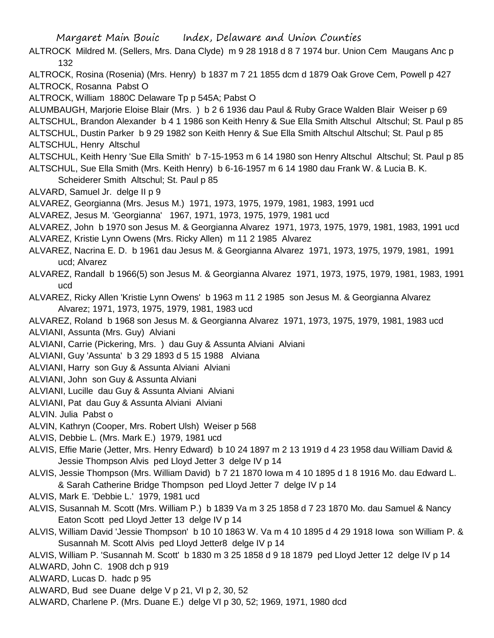- ALTROCK Mildred M. (Sellers, Mrs. Dana Clyde) m 9 28 1918 d 8 7 1974 bur. Union Cem Maugans Anc p 132
- ALTROCK, Rosina (Rosenia) (Mrs. Henry) b 1837 m 7 21 1855 dcm d 1879 Oak Grove Cem, Powell p 427 ALTROCK, Rosanna Pabst O

ALTROCK, William 1880C Delaware Tp p 545A; Pabst O

ALUMBAUGH, Marjorie Eloise Blair (Mrs. ) b 2 6 1936 dau Paul & Ruby Grace Walden Blair Weiser p 69 ALTSCHUL, Brandon Alexander b 4 1 1986 son Keith Henry & Sue Ella Smith Altschul Altschul; St. Paul p 85

ALTSCHUL, Dustin Parker b 9 29 1982 son Keith Henry & Sue Ella Smith Altschul Altschul; St. Paul p 85 ALTSCHUL, Henry Altschul

ALTSCHUL, Keith Henry 'Sue Ella Smith' b 7-15-1953 m 6 14 1980 son Henry Altschul Altschul; St. Paul p 85 ALTSCHUL, Sue Ella Smith (Mrs. Keith Henry) b 6-16-1957 m 6 14 1980 dau Frank W. & Lucia B. K.

Scheiderer Smith Altschul; St. Paul p 85

ALVARD, Samuel Jr. delge II p 9

ALVAREZ, Georgianna (Mrs. Jesus M.) 1971, 1973, 1975, 1979, 1981, 1983, 1991 ucd

ALVAREZ, Jesus M. 'Georgianna' 1967, 1971, 1973, 1975, 1979, 1981 ucd

- ALVAREZ, John b 1970 son Jesus M. & Georgianna Alvarez 1971, 1973, 1975, 1979, 1981, 1983, 1991 ucd
- ALVAREZ, Kristie Lynn Owens (Mrs. Ricky Allen) m 11 2 1985 Alvarez
- ALVAREZ, Nacrina E. D. b 1961 dau Jesus M. & Georgianna Alvarez 1971, 1973, 1975, 1979, 1981, 1991 ucd; Alvarez

ALVAREZ, Randall b 1966(5) son Jesus M. & Georgianna Alvarez 1971, 1973, 1975, 1979, 1981, 1983, 1991 ucd

ALVAREZ, Ricky Allen 'Kristie Lynn Owens' b 1963 m 11 2 1985 son Jesus M. & Georgianna Alvarez Alvarez; 1971, 1973, 1975, 1979, 1981, 1983 ucd

ALVAREZ, Roland b 1968 son Jesus M. & Georgianna Alvarez 1971, 1973, 1975, 1979, 1981, 1983 ucd ALVIANI, Assunta (Mrs. Guy) Alviani

ALVIANI, Carrie (Pickering, Mrs. ) dau Guy & Assunta Alviani Alviani

ALVIANI, Guy 'Assunta' b 3 29 1893 d 5 15 1988 Alviana

ALVIANI, Harry son Guy & Assunta Alviani Alviani

ALVIANI, John son Guy & Assunta Alviani

ALVIANI, Lucille dau Guy & Assunta Alviani Alviani

ALVIANI, Pat dau Guy & Assunta Alviani Alviani

ALVIN. Julia Pabst o

ALVIN, Kathryn (Cooper, Mrs. Robert Ulsh) Weiser p 568

ALVIS, Debbie L. (Mrs. Mark E.) 1979, 1981 ucd

- ALVIS, Effie Marie (Jetter, Mrs. Henry Edward) b 10 24 1897 m 2 13 1919 d 4 23 1958 dau William David & Jessie Thompson Alvis ped Lloyd Jetter 3 delge IV p 14
- ALVIS, Jessie Thompson (Mrs. William David) b 7 21 1870 Iowa m 4 10 1895 d 1 8 1916 Mo. dau Edward L. & Sarah Catherine Bridge Thompson ped Lloyd Jetter 7 delge IV p 14
- ALVIS, Mark E. 'Debbie L.' 1979, 1981 ucd
- ALVIS, Susannah M. Scott (Mrs. William P.) b 1839 Va m 3 25 1858 d 7 23 1870 Mo. dau Samuel & Nancy Eaton Scott ped Lloyd Jetter 13 delge IV p 14
- ALVIS, William David 'Jessie Thompson' b 10 10 1863 W. Va m 4 10 1895 d 4 29 1918 Iowa son William P. & Susannah M. Scott Alvis ped Lloyd Jetter8 delge IV p 14

ALVIS, William P. 'Susannah M. Scott' b 1830 m 3 25 1858 d 9 18 1879 ped Lloyd Jetter 12 delge IV p 14

ALWARD, John C. 1908 dch p 919

ALWARD, Lucas D. hadc p 95

ALWARD, Bud see Duane delge V p 21, VI p 2, 30, 52

ALWARD, Charlene P. (Mrs. Duane E.) delge VI p 30, 52; 1969, 1971, 1980 dcd